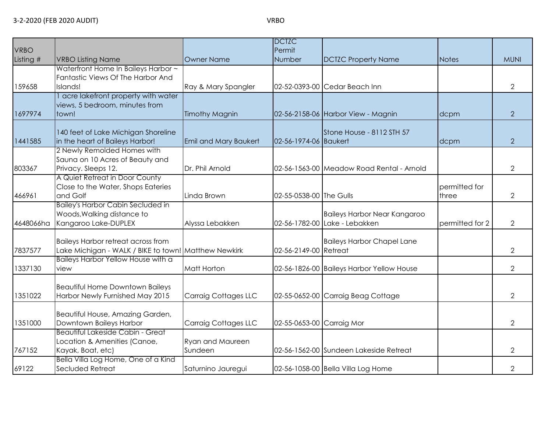| <b>VRBO</b><br>Listing # | <b>VRBO Listing Name</b>                                                                          | <b>Owner Name</b>            | <b>DCTZC</b><br>Permit<br>Number | <b>DCTZC Property Name</b>                                           | <b>Notes</b>           | <b>MUNI</b>    |
|--------------------------|---------------------------------------------------------------------------------------------------|------------------------------|----------------------------------|----------------------------------------------------------------------|------------------------|----------------|
| 159658                   | Waterfront Home In Baileys Harbor ~<br>Fantastic Views Of The Harbor And<br>Islands!              | Ray & Mary Spangler          |                                  | 02-52-0393-00 Cedar Beach Inn                                        |                        | $\overline{2}$ |
| 1697974                  | acre lakefront property with water<br>views, 5 bedroom, minutes from<br>town!                     | <b>Timothy Magnin</b>        |                                  | 02-56-2158-06 Harbor View - Magnin                                   | dcpm                   | $\overline{2}$ |
| 1441585                  | 140 feet of Lake Michigan Shoreline<br>in the heart of Baileys Harbor!                            | <b>Emil and Mary Baukert</b> | 02-56-1974-06 Baukert            | Stone House - 8112 STH 57                                            | dcpm                   | $\overline{2}$ |
| 803367                   | 2 Newly Remolded Homes with<br>Sauna on 10 Acres of Beauty and<br>Privacy. Sleeps 12.             | Dr. Phil Arnold              |                                  | 02-56-1563-00 Meadow Road Rental - Arnold                            |                        | $\overline{2}$ |
| 466961                   | A Quiet Retreat in Door County<br>Close to the Water, Shops Eateries<br>and Golf                  | Linda Brown                  | 02-55-0538-00 The Gulls          |                                                                      | permitted for<br>three | $\overline{2}$ |
| 4648066ha                | <b>Bailey's Harbor Cabin Secluded in</b><br>Woods, Walking distance to<br>Kangaroo Lake-DUPLEX    | Alyssa Lebakken              |                                  | <b>Baileys Harbor Near Kangaroo</b><br>02-56-1782-00 Lake - Lebakken | permitted for 2        | $\overline{2}$ |
| 7837577                  | <b>Baileys Harbor retreat across from</b><br>Lake Michigan - WALK / BIKE to town! Matthew Newkirk |                              | 02-56-2149-00 Retreat            | <b>Baileys Harbor Chapel Lane</b>                                    |                        | $\overline{2}$ |
| 1337130                  | Baileys Harbor Yellow House with a<br>view                                                        | Matt Horton                  |                                  | 02-56-1826-00 Baileys Harbor Yellow House                            |                        | $\overline{2}$ |
| 1351022                  | <b>Beautiful Home Downtown Baileys</b><br>Harbor Newly Furnished May 2015                         | Carraig Cottages LLC         |                                  | 02-55-0652-00 Carraig Beag Cottage                                   |                        | $\overline{2}$ |
| 1351000                  | Beautiful House, Amazing Garden,<br>Downtown Baileys Harbor                                       | Carraig Cottages LLC         | 02-55-0653-00 Carraig Mor        |                                                                      |                        | $\overline{2}$ |
| 767152                   | <b>Beautiful Lakeside Cabin - Great</b><br>Location & Amenities (Canoe,<br>Kayak, Boat, etc)      | Ryan and Maureen<br>Sundeen  |                                  | 02-56-1562-00 Sundeen Lakeside Retreat                               |                        | $\overline{2}$ |
| 69122                    | Bella Villa Log Home, One of a Kind<br>Secluded Retreat                                           | Saturnino Jauregui           |                                  | 02-56-1058-00 Bella Villa Log Home                                   |                        | $\overline{2}$ |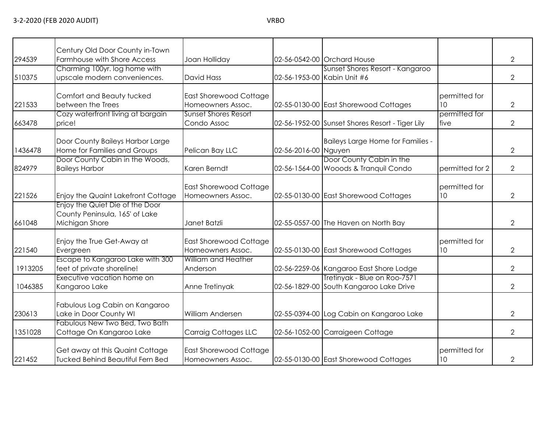|  |  |  | ×<br>۰, |
|--|--|--|---------|
|--|--|--|---------|

|         | Century Old Door County in-Town                                                     |                                                    |                      |                                                                         |                                  |                |
|---------|-------------------------------------------------------------------------------------|----------------------------------------------------|----------------------|-------------------------------------------------------------------------|----------------------------------|----------------|
| 294539  | Farmhouse with Shore Access                                                         | Joan Holliday                                      |                      | 02-56-0542-00 Orchard House                                             |                                  | 2              |
| 510375  | Charming 100yr. log home with<br>upscale modern conveniences.                       | David Hass                                         |                      | Sunset Shores Resort - Kangaroo<br>02-56-1953-00 Kabin Unit #6          |                                  | 2              |
| 221533  | Comfort and Beauty tucked<br>between the Trees                                      | East Shorewood Cottage<br>Homeowners Assoc.        |                      | 02-55-0130-00 East Shorewood Cottages                                   | permitted for<br>10 <sup>°</sup> | $\overline{2}$ |
| 663478  | Cozy waterfront living at bargain<br>price!                                         | <b>Sunset Shores Resort</b><br>Condo Assoc         |                      | 02-56-1952-00 Sunset Shores Resort - Tiger Lily                         | permitted for<br>five            | $\overline{2}$ |
| 1436478 | Door County Baileys Harbor Large<br>Home for Families and Groups                    | Pelican Bay LLC                                    | 02-56-2016-00 Nguyen | Baileys Large Home for Families -                                       |                                  | 2              |
| 824979  | Door County Cabin in the Woods,<br><b>Baileys Harbor</b>                            | Karen Berndt                                       |                      | Door County Cabin in the<br>02-56-1564-00 Wooods & Tranquil Condo       | permitted for 2                  | $\overline{2}$ |
| 221526  | Enjoy the Quaint Lakefront Cottage                                                  | <b>East Shorewood Cottage</b><br>Homeowners Assoc. |                      | 02-55-0130-00 East Shorewood Cottages                                   | <b>I</b> permitted for<br>10     | $\overline{2}$ |
| 661048  | Enjoy the Quiet Die of the Door<br>County Peninsula, 165' of Lake<br>Michigan Shore | Janet Batzli                                       |                      | 02-55-0557-00 The Haven on North Bay                                    |                                  | 2              |
| 221540  | Enjoy the True Get-Away at<br>Evergreen                                             | East Shorewood Cottage<br>Homeowners Assoc.        |                      | 02-55-0130-00 East Shorewood Cottages                                   | permitted for<br>10              | 2              |
| 1913205 | Escape to Kangaroo Lake with 300<br>feet of private shoreline!                      | William and Heather<br>Anderson                    |                      | 02-56-2259-06 Kangaroo East Shore Lodge                                 |                                  | 2              |
| 1046385 | Executive vacation home on<br>Kangaroo Lake                                         | Anne Tretinyak                                     |                      | Tretinyak - Blue on Roo-7571<br>02-56-1829-00 South Kangaroo Lake Drive |                                  | 2              |
| 230613  | Fabulous Log Cabin on Kangaroo<br>Lake in Door County WI                            | <b>William Andersen</b>                            |                      | 02-55-0394-00 Log Cabin on Kangaroo Lake                                |                                  | 2              |
| 1351028 | Fabulous New Two Bed, Two Bath<br>Cottage On Kangaroo Lake                          | Carraig Cottages LLC                               |                      | 02-56-1052-00 Carraigeen Cottage                                        |                                  | 2              |
| 221452  | Get away at this Quaint Cottage<br><b>Tucked Behind Beautiful Fern Bed</b>          | East Shorewood Cottage<br>Homeowners Assoc.        |                      | 02-55-0130-00 East Shorewood Cottages                                   | permitted for<br>10              | $\overline{2}$ |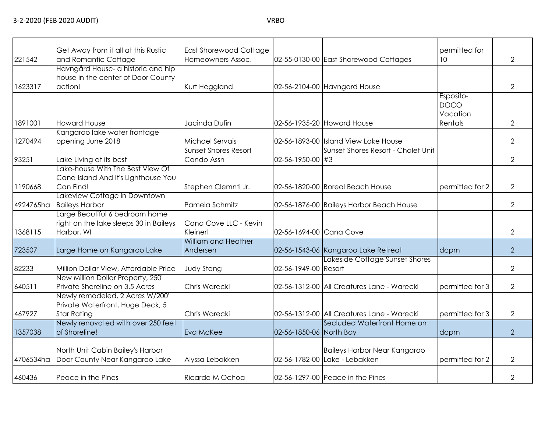| 221542    | Get Away from it all at this Rustic<br>and Romantic Cottage                               | <b>East Shorewood Cottage</b><br>Homeowners Assoc. |                         | 02-55-0130-00 East Shorewood Cottages                                | permitted for<br>10                             | $\overline{2}$ |
|-----------|-------------------------------------------------------------------------------------------|----------------------------------------------------|-------------------------|----------------------------------------------------------------------|-------------------------------------------------|----------------|
|           | Havngård House- a historic and hip<br>house in the center of Door County                  |                                                    |                         |                                                                      |                                                 |                |
| 1623317   | action!                                                                                   | Kurt Heggland                                      |                         | 02-56-2104-00 Havngard House                                         |                                                 | $\overline{2}$ |
| 1891001   | <b>Howard House</b>                                                                       | Jacinda Dufin                                      |                         | 02-56-1935-20 Howard House                                           | Esposito-<br><b>DOCO</b><br>Vacation<br>Rentals | $\overline{2}$ |
|           | Kangaroo lake water frontage                                                              |                                                    |                         |                                                                      |                                                 |                |
| 1270494   | opening June 2018                                                                         | Michael Servais                                    |                         | 02-56-1893-00 Island View Lake House                                 |                                                 | $\overline{2}$ |
|           |                                                                                           | <b>Sunset Shores Resort</b>                        |                         | Sunset Shores Resort - Chalet Unit                                   |                                                 |                |
| 93251     | Lake Living at its best                                                                   | Condo Assn                                         | 02-56-1950-00 #3        |                                                                      |                                                 | $\overline{2}$ |
| 1190668   | Lake-house With The Best View Of<br>Cana Island And It's Lighthouse You<br>Can Find!      | Stephen Clemnti Jr.                                |                         | 02-56-1820-00 Boreal Beach House                                     | permitted for 2                                 | $\overline{2}$ |
| 4924765ha | Lakeview Cottage in Downtown<br><b>Baileys Harbor</b>                                     | Pamela Schmitz                                     |                         | 02-56-1876-00 Baileys Harbor Beach House                             |                                                 | $\overline{2}$ |
| 1368115   | arge Beautiful 6 bedroom home<br>right on the lake sleeps 30 in Baileys<br>Harbor, WI     | Cana Cove LLC - Kevin<br>Kleinert                  | 02-56-1694-00 Cana Cove |                                                                      |                                                 | $\overline{2}$ |
| 723507    | Large Home on Kangaroo Lake                                                               | <b>William and Heather</b><br>Andersen             |                         | 02-56-1543-06 Kangaroo Lake Retreat                                  | dcpm                                            | $\overline{2}$ |
| 82233     | Million Dollar View, Affordable Price                                                     | <b>Judy Stang</b>                                  | 02-56-1949-00 Resort    | Lakeside Cottage Sunset Shores                                       |                                                 | $\overline{2}$ |
| 640511    | New Million Dollar Property, 250'<br>Private Shoreline on 3.5 Acres                       | Chris Warecki                                      |                         | 02-56-1312-00 All Creatures Lane - Warecki                           | permitted for 3                                 | $\overline{2}$ |
| 467927    | Newly remodeled, 2 Acres W/200'<br>Private Waterfront, Huge Deck, 5<br><b>Star Rating</b> | Chris Warecki                                      |                         | 02-56-1312-00 All Creatures Lane - Warecki                           | permitted for 3                                 | $\overline{2}$ |
|           | Newly renovated with over 250 feet                                                        |                                                    |                         | Secluded Waterfront Home on                                          |                                                 |                |
| 1357038   | of Shoreline!                                                                             | Eva McKee                                          | 02-56-1850-06 North Bay |                                                                      | dcpm                                            | $\overline{2}$ |
| 4706534ha | North Unit Cabin Bailey's Harbor<br>Door County Near Kangaroo Lake                        | Alyssa Lebakken                                    |                         | <b>Baileys Harbor Near Kangaroo</b><br>02-56-1782-00 Lake - Lebakken | permitted for 2                                 | $\overline{2}$ |
| 460436    | Peace in the Pines                                                                        | Ricardo M Ochoa                                    |                         | 02-56-1297-00 Peace in the Pines                                     |                                                 | $\mathbf{2}$   |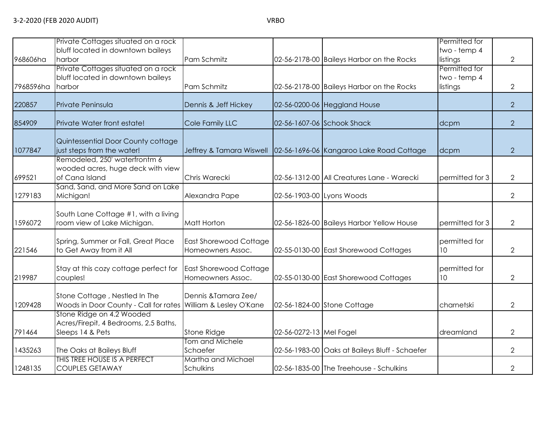1248135

COUPLES GETAWAY

|           | Private Cottages situated on a rock                              |                               |                           |                                                                   | Permitted for   |                |
|-----------|------------------------------------------------------------------|-------------------------------|---------------------------|-------------------------------------------------------------------|-----------------|----------------|
|           | bluff located in downtown baileys                                |                               |                           |                                                                   | two - temp 4    |                |
| 968606ha  | harbor                                                           | Pam Schmitz                   |                           | 02-56-2178-00 Baileys Harbor on the Rocks                         | listings        | $\overline{2}$ |
|           | Private Cottages situated on a rock                              |                               |                           |                                                                   | Permitted for   |                |
|           | bluff located in downtown baileys                                |                               |                           |                                                                   | two - temp 4    |                |
| 7968596ha | harbor                                                           | Pam Schmitz                   |                           | 02-56-2178-00 Baileys Harbor on the Rocks                         | listings        | 2              |
|           |                                                                  |                               |                           |                                                                   |                 |                |
| 220857    | Private Peninsula                                                | Dennis & Jeff Hickey          |                           | 02-56-0200-06 Heggland House                                      |                 | $\overline{2}$ |
|           |                                                                  |                               |                           |                                                                   |                 |                |
| 854909    | Private Water front estate!                                      | Cole Family LLC               |                           | 02-56-1607-06 Schook Shack                                        | dcpm            | $\overline{2}$ |
|           |                                                                  |                               |                           |                                                                   |                 |                |
| 1077847   | Quintessential Door County cottage<br>just steps from the water! |                               |                           | Jeffrey & Tamara Wiswell 02-56-1696-06 Kangaroo Lake Road Cottage |                 | $\overline{2}$ |
|           | Remodeled, 250' waterfrontm 6                                    |                               |                           |                                                                   | dcpm            |                |
|           |                                                                  |                               |                           |                                                                   |                 |                |
| 699521    | wooded acres, huge deck with view<br>of Cana Island              | Chris Warecki                 |                           | 02-56-1312-00 All Creatures Lane - Warecki                        | permitted for 3 | $\overline{2}$ |
|           | Sand, Sand, and More Sand on Lake                                |                               |                           |                                                                   |                 |                |
| 1279183   | Michigan!                                                        | Alexandra Pape                | 02-56-1903-00 Lyons Woods |                                                                   |                 | $\overline{2}$ |
|           |                                                                  |                               |                           |                                                                   |                 |                |
|           | South Lane Cottage #1, with a living                             |                               |                           |                                                                   |                 |                |
| 1596072   | room view of Lake Michigan.                                      | Matt Horton                   |                           | 02-56-1826-00 Baileys Harbor Yellow House                         | permitted for 3 | 2              |
|           |                                                                  |                               |                           |                                                                   |                 |                |
|           | Spring, Summer or Fall, Great Place                              | <b>East Shorewood Cottage</b> |                           |                                                                   | permitted for   |                |
| 221546    | to Get Away from it All                                          | Homeowners Assoc.             |                           | 02-55-0130-00 East Shorewood Cottages                             | 10 <sup>°</sup> | 2              |
|           |                                                                  |                               |                           |                                                                   |                 |                |
|           | Stay at this cozy cottage perfect for                            | <b>East Shorewood Cottage</b> |                           |                                                                   | permitted for   |                |
| 219987    | couples!                                                         | Homeowners Assoc.             |                           | 02-55-0130-00 East Shorewood Cottages                             | 10              | 2              |
|           |                                                                  |                               |                           |                                                                   |                 |                |
|           | Stone Cottage, Nestled In The                                    | Dennis & Tamara Zee/          |                           |                                                                   |                 |                |
| 1209428   | Woods in Door County - Call for rates                            | William & Lesley O'Kane       |                           | 02-56-1824-00 Stone Cottage                                       | charnetski      | $\overline{2}$ |
|           | Stone Ridge on 4.2 Wooded                                        |                               |                           |                                                                   |                 |                |
|           | Acres/Firepit, 4 Bedrooms, 2.5 Baths,                            |                               |                           |                                                                   |                 |                |
| 791464    | Sleeps 14 & Pets                                                 | <b>Stone Ridge</b>            | 02-56-0272-13 Mel Fogel   |                                                                   | dreamland       | $\overline{2}$ |
|           |                                                                  | Tom and Michele               |                           |                                                                   |                 |                |
| 1435263   | The Oaks at Baileys Bluff                                        | Schaefer                      |                           | 02-56-1983-00 Oaks at Baileys Bluff - Schaefer                    |                 | $\overline{2}$ |
|           | THIS TREE HOUSE IS A PERFECT                                     | Martha and Michael            |                           |                                                                   |                 |                |

Schulkins 02-56-1835-00 The Treehouse - Schulkins 2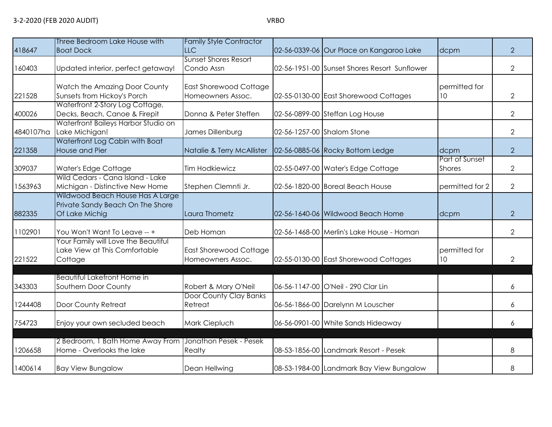| 418647    | Three Bedroom Lake House with<br><b>Boat Dock</b>                                      | <b>Family Style Contractor</b><br>LLC              | 02-56-0339-06 Our Place on Kangaroo Lake     | dcpm                            | $\overline{2}$ |
|-----------|----------------------------------------------------------------------------------------|----------------------------------------------------|----------------------------------------------|---------------------------------|----------------|
|           |                                                                                        | <b>Sunset Shores Resort</b>                        |                                              |                                 |                |
| 160403    | Updated interior, perfect getaway!                                                     | Condo Assn                                         | 02-56-1951-00 Sunset Shores Resort Sunflower |                                 | $\overline{2}$ |
|           | Watch the Amazing Door County                                                          | <b>East Shorewood Cottage</b>                      |                                              | permitted for                   |                |
| 221528    | Sunsets from Hickoy's Porch                                                            | Homeowners Assoc.                                  | 02-55-0130-00 East Shorewood Cottages        | 10 <sup>°</sup>                 | 2              |
| 400026    | Waterfront 2-Story Log Cottage,<br>Decks, Beach, Canoe & Firepit                       | Donna & Peter Steffen                              | 02-56-0899-00 Steffan Log House              |                                 | $\overline{2}$ |
| 4840107ha | Waterfront Baileys Harbor Studio on<br>Lake Michigan!                                  | James Dillenburg                                   | 02-56-1257-00 Shalom Stone                   |                                 | $\overline{2}$ |
| 221358    | Waterfront Log Cabin with Boat<br>House and Pier                                       | Natalie & Terry McAllister                         | 02-56-0885-06 Rocky Bottom Ledge             | dcpm                            | $\overline{2}$ |
| 309037    | Water's Edge Cottage                                                                   | <b>Tim Hodkiewicz</b>                              | 02-55-0497-00 Water's Edge Cottage           | Part of Sunset<br><b>Shores</b> | $\overline{2}$ |
| 1563963   | Wild Cedars - Cana Island - Lake<br>Michigan - Distinctive New Home                    | Stephen Clemnti Jr.                                | 02-56-1820-00 Boreal Beach House             | permitted for 2                 | $\overline{2}$ |
| 882335    | Wildwood Beach House Has A Large<br>Private Sandy Beach On The Shore<br>Of Lake Michig | Laura Thometz                                      | 02-56-1640-06 Wildwood Beach Home            | dcpm                            | $\overline{2}$ |
| 1102901   | You Won't Want To Leave -- +                                                           | Deb Homan                                          | 02-56-1468-00 Merlin's Lake House - Homan    |                                 | $\overline{2}$ |
| 221522    | Your Family will Love the Beautiful<br>Lake View at This Comfortable<br>Cottage        | <b>East Shorewood Cottage</b><br>Homeowners Assoc. | 02-55-0130-00 East Shorewood Cottages        | permitted for<br>10             | $\overline{2}$ |
| 343303    | <b>Beautiful Lakefront Home in</b><br>Southern Door County                             | Robert & Mary O'Neil                               | 06-56-1147-00 O'Neil - 290 Clar Lin          |                                 | 6              |
| 1244408   | Door County Retreat                                                                    | Door County Clay Banks<br>Retreat                  | 06-56-1866-00 Darelynn M Louscher            |                                 | 6              |
| 754723    | Enjoy your own secluded beach                                                          | Mark Ciepluch                                      | 06-56-0901-00 White Sands Hideaway           |                                 | 6              |
| 1206658   | 2 Bedroom, 1 Bath Home Away From<br>Home - Overlooks the lake                          | Jonathon Pesek - Pesek<br>Realty                   | 08-53-1856-00 Landmark Resort - Pesek        |                                 | 8              |
| 1400614   | <b>Bay View Bungalow</b>                                                               | Dean Hellwing                                      | 08-53-1984-00 Landmark Bay View Bungalow     |                                 | 8              |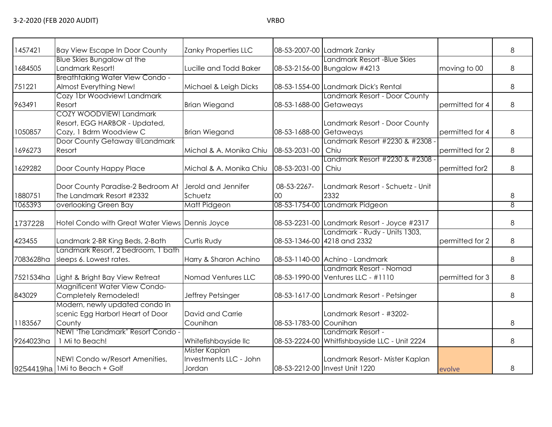|  | ×<br>۰, |
|--|---------|
|  |         |

| 1457421   | <b>Bay View Escape In Door County</b>                                               | Zanky Properties LLC                              |                         | 08-53-2007-00 Ladmark Zanky                                        |                 | 8              |
|-----------|-------------------------------------------------------------------------------------|---------------------------------------------------|-------------------------|--------------------------------------------------------------------|-----------------|----------------|
| 1684505   | Blue Skies Bungalow at the<br>Landmark Resort!                                      | Lucille and Todd Baker                            |                         | Landmark Resort - Blue Skies<br>08-53-2156-00 Bungalow #4213       | moving to 00    | 8              |
| 751221    | <b>Breathtaking Water View Condo -</b><br>Almost Everything New!                    | Michael & Leigh Dicks                             |                         | 08-53-1554-00 Landmark Dick's Rental                               |                 | 8              |
| 963491    | Cozy 1br Woodview! Landmark<br>Resort                                               | <b>Brian Wiegand</b>                              | 08-53-1688-00 Getaweays | Landmark Resort - Door County                                      | permitted for 4 | 8              |
| 1050857   | COZY WOODVIEW! Landmark<br>Resort, EGG HARBOR - Updated,<br>Cozy, 1 Bdrm Woodview C | <b>Brian Wiegand</b>                              | 08-53-1688-00 Getaweays | Landmark Resort - Door County                                      | permitted for 4 | 8              |
| 1696273   | Door County Getaway @Landmark<br>Resort                                             | Michal & A. Monika Chiu   08-53-2031-00           |                         | Landmark Resort #2230 & #2308 -<br>Chiu                            | permitted for 2 | 8              |
| 1629282   | Door County Happy Place                                                             | Michal & A. Monika Chiu   08-53-2031-00   Chiu    |                         | Landmark Resort #2230 & #2308 -                                    | permitted for2  | 8              |
| 1880751   | Door County Paradise-2 Bedroom At<br>The Landmark Resort #2332                      | Jerold and Jennifer<br>Schuetz                    | 08-53-2267-<br>00       | Landmark Resort - Schuetz - Unit<br>2332                           |                 | 8              |
| 1065393   | overlooking Green Bay                                                               | Matt Pidgeon                                      |                         | 08-53-1754-00 Landmark Pidgeon                                     |                 | $\overline{8}$ |
| 1737228   | Hotel Condo with Great Water Views Dennis Joyce                                     |                                                   |                         | 08-53-2231-00 Landmark Resort - Joyce #2317                        |                 | 8              |
| 423455    | Landmark 2-BR King Beds, 2-Bath                                                     | Curtis Rudy                                       |                         | Landmark - Rudy - Units 1303,<br>08-53-1346-00 4218 and 2332       | permitted for 2 | 8              |
| 7083628ha | Landmark Resort, 2 bedroom, 1 bath<br>sleeps 6. Lowest rates.                       | Harry & Sharon Achino                             |                         | 08-53-1140-00 Achino - Landmark                                    |                 | 8              |
| 7521534ha | Light & Bright Bay View Retreat                                                     | Nomad Ventures LLC                                |                         | Landmark Resort - Nomad<br>08-53-1990-00 Ventures LLC - #1110      | permitted for 3 | 8              |
| 843029    | <b>Magnificent Water View Condo-</b><br>Completely Remodeled!                       | Jeffrey Petsinger                                 |                         | 08-53-1617-00 Landmark Resort - Petsinger                          |                 | 8              |
| 1183567   | Modern, newly updated condo in<br>scenic Egg Harbor! Heart of Door<br>County        | David and Carrie<br>Counihan                      | 08-53-1783-00 Counihan  | Landmark Resort - #3202-                                           |                 | 8              |
| 9264023ha | NEW! 'The Landmark' Resort Condo -<br>1 Mi to Beach!                                | Whitefishbayside IIc                              |                         | Landmark Resort -<br>08-53-2224-00 Whitfishbayside LLC - Unit 2224 |                 | 8              |
|           | NEW! Condo w/Resort Amenities,<br>9254419ha   1 Mi to Beach + Golf                  | Mister Kaplan<br>Investments LLC - John<br>Jordan |                         | Landmark Resort- Mister Kaplan<br>08-53-2212-00 Invest Unit 1220   | evolve          | 8              |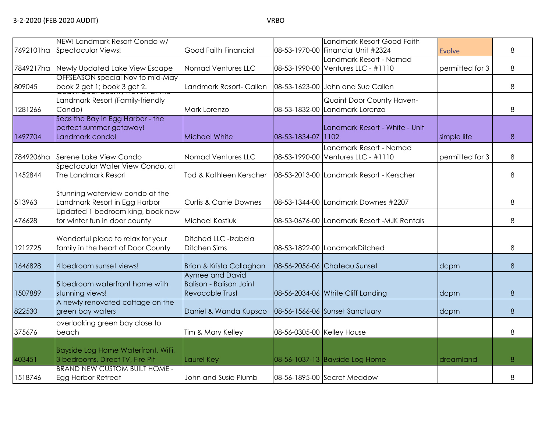|           | NEW! Landmark Resort Condo w/                                                  |                                                                             |                            | Landmark Resort Good Faith                                    |                 |   |
|-----------|--------------------------------------------------------------------------------|-----------------------------------------------------------------------------|----------------------------|---------------------------------------------------------------|-----------------|---|
| 7692101ha | <b>Spectacular Views!</b>                                                      | Good Faith Financial                                                        |                            | 08-53-1970-00 Financial Unit #2324                            | <b>Evolve</b>   | 8 |
| 7849217ha | Newly Updated Lake View Escape                                                 | Nomad Ventures LLC                                                          |                            | Landmark Resort - Nomad<br>08-53-1990-00 Ventures LLC - #1110 | permitted for 3 | 8 |
| 809045    | OFFSEASON special Nov to mid-May<br>book 2 get 1; book 3 get 2.                | Landmark Resort- Callen                                                     |                            | 08-53-1623-00 John and Sue Callen                             |                 | 8 |
| 1281266   | Landmark Resort (Family-friendly<br>Condo)                                     | Mark Lorenzo                                                                |                            | Quaint Door County Haven-<br>08-53-1832-00 Landmark Lorenzo   |                 | 8 |
| 1497704   | Seas the Bay in Egg Harbor - the<br>perfect summer getaway!<br>Landmark condo! | Michael White                                                               | 08-53-1834-07 1102         | Landmark Resort - White - Unit                                | simple life     | 8 |
| 7849206ha | Serene Lake View Condo                                                         | Nomad Ventures LLC                                                          |                            | Landmark Resort - Nomad<br>08-53-1990-00 Ventures LLC - #1110 | permitted for 3 | 8 |
| 1452844   | Spectacular Water View Condo, at<br>The Landmark Resort                        | Tod & Kathleen Kerscher                                                     |                            | 08-53-2013-00 Landmark Resort - Kerscher                      |                 | 8 |
| 513963    | Stunning waterview condo at the<br>Landmark Resort in Egg Harbor               | <b>Curtis &amp; Carrie Downes</b>                                           |                            | 08-53-1344-00 Landmark Downes #2207                           |                 | 8 |
| 476628    | Updated 1 bedroom king, book now<br>for winter fun in door county              | Michael Kostiuk                                                             |                            | 08-53-0676-00 Landmark Resort -MJK Rentals                    |                 | 8 |
| 1212725   | Wonderful place to relax for your<br>family in the heart of Door County        | Ditched LLC -Izabela<br><b>Ditchen Sims</b>                                 |                            | 08-53-1822-00 LandmarkDitched                                 |                 | 8 |
| 1646828   | 4 bedroom sunset views!                                                        | Brian & Krista Callaghan                                                    |                            | 08-56-2056-06 Chateau Sunset                                  | dcpm            | 8 |
| 1507889   | 5 bedroom waterfront home with<br>stunning views!                              | Aymee and David<br><b>Balison - Balison Joint</b><br><b>Revocable Trust</b> |                            | 08-56-2034-06 White Cliff Landing                             | dcpm            | 8 |
| 822530    | A newly renovated cottage on the<br>green bay waters                           | Daniel & Wanda Kupsco                                                       |                            | 08-56-1566-06 Sunset Sanctuary                                | dcpm            | 8 |
| 375676    | overlooking green bay close to<br>beach                                        | Tim & Mary Kelley                                                           | 08-56-0305-00 Kelley House |                                                               |                 | 8 |
| 403451    | Bayside Log Home Waterfront, WiFi,<br>3 bedrooms, Direct TV, Fire Pit          | Laurel Key                                                                  |                            | 08-56-1037-13 Bayside Log Home                                | dreamland       | 8 |
| 1518746   | <b>BRAND NEW CUSTOM BUILT HOME -</b><br><b>Egg Harbor Retreat</b>              | John and Susie Plumb                                                        |                            | 08-56-1895-00 Secret Meadow                                   |                 | 8 |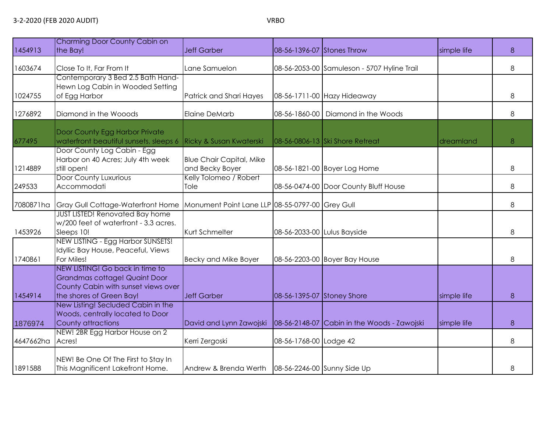|  |  | ۰. | ۰.<br>M.<br>۰, |
|--|--|----|----------------|
|--|--|----|----------------|

| 1454913   | Charming Door County Cabin on<br>the Bay!                                                                                           | <b>Jeff Garber</b>                                 | 08-56-1396-07 Stones Throw  |                                             | simple life | 8 |
|-----------|-------------------------------------------------------------------------------------------------------------------------------------|----------------------------------------------------|-----------------------------|---------------------------------------------|-------------|---|
| 1603674   | Close To It, Far From It                                                                                                            | Lane Samuelon                                      |                             | 08-56-2053-00 Samuleson - 5707 Hyline Trail |             | 8 |
| 1024755   | Contemporary 3 Bed 2.5 Bath Hand-<br>Hewn Log Cabin in Wooded Setting<br>of Egg Harbor                                              | Patrick and Shari Hayes                            |                             | 08-56-1711-00 Hazy Hideaway                 |             | 8 |
| 1276892   | Diamond in the Wooods                                                                                                               | <b>Elaine DeMarb</b>                               |                             | 08-56-1860-00   Diamond in the Woods        |             | 8 |
| 677495    | Door County Egg Harbor Private<br>waterfront beautiful sunsets, sleeps 6                                                            | Ricky & Susan Kwaterski                            |                             | 08-56-0806-13 Ski Shore Retreat             | dreamland   | 8 |
| 1214889   | Door County Log Cabin - Egg<br>Harbor on 40 Acres; July 4th week<br>still open!                                                     | <b>Blue Chair Capital, Mike</b><br>and Becky Boyer |                             | 08-56-1821-00 Boyer Log Home                |             | 8 |
| 249533    | <b>Door County Luxurious</b><br>Accommodati                                                                                         | Kelly Tolomeo / Robert<br>Tole                     |                             | 08-56-0474-00 Door County Bluff House       |             | 8 |
| 7080871ha | <b>Gray Gull Cottage-Waterfront Home</b>                                                                                            | Monument Point Lane LLP 08-55-0797-00 Grey Gull    |                             |                                             |             | 8 |
| 1453926   | <b>JUST LISTED! Renovated Bay home</b><br>w/200 feet of waterfront - 3.3 acres.<br>Sleeps 10!                                       | Kurt Schmelter                                     | 08-56-2033-00 Lulus Bayside |                                             |             | 8 |
| 1740861   | NEW LISTING - Egg Harbor SUNSETS!<br>Idyllic Bay House, Peaceful, Views<br>For Miles!                                               | Becky and Mike Boyer                               |                             | 08-56-2203-00 Boyer Bay House               |             | 8 |
| 1454914   | NEW LISTING! Go back in time to<br>Grandmas cottage! Quaint Door<br>County Cabin with sunset views over<br>the shores of Green Bay! | Jeff Garber                                        | 08-56-1395-07 Stoney Shore  |                                             | simple life | 8 |
| 1876974   | New Listing! Secluded Cabin in the<br>Woods, centrally located to Door<br>County attractions                                        | David and Lynn Zawojski                            |                             | 08-56-2148-07 Cabin in the Woods - Zawojski | simple life | 8 |
| 4647662ha | NEW! 2BR Egg Harbor House on 2<br>Acres!                                                                                            | Kerri Zergoski                                     | 08-56-1768-00 Lodge 42      |                                             |             | 8 |
| 1891588   | NEW! Be One Of The First to Stay In<br>This Magnificent Lakefront Home.                                                             | Andrew & Brenda Werth                              |                             | 08-56-2246-00 Sunny Side Up                 |             | 8 |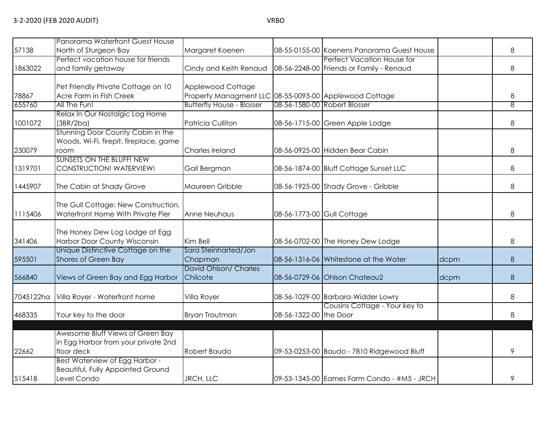|           | Panorama Waterfront Guest House          |                                                        |                        |                                             |      |                |
|-----------|------------------------------------------|--------------------------------------------------------|------------------------|---------------------------------------------|------|----------------|
| 57138     | North of Sturgeon Bay                    | Margaret Koenen                                        |                        | 08-55-0155-00 Koenens Panorama Guest House  |      | 8              |
|           | Perfect vacation house for friends       |                                                        |                        | Perfect Vacation House for                  |      |                |
| 1863022   | and family getaway                       | Cindy and Keith Renaud                                 |                        | 08-56-2248-00 Friends or Family - Renaud    |      | 8              |
|           | Pet Friendly Private Cottage on 10       | Applewood Cottage                                      |                        |                                             |      |                |
| 78867     | Acre Farm in Fish Creek                  | Property Managment LLC 08-55-0093-00 Applewood Cottage |                        |                                             |      | 8              |
| 655760    | All The Fun!                             | <b>Butterfly House - Blosser</b>                       |                        | 08-56-1580-00 Robert Blosser                |      | $\overline{8}$ |
|           | Relax In Our Nostalgic Log Home          |                                                        |                        |                                             |      |                |
| 1001072   | (3BR/2ba)                                | Patricia Culliton                                      |                        | 08-56-1715-00 Green Apple Lodge             |      | 8              |
|           | Stunning Door County Cabin in the        |                                                        |                        |                                             |      |                |
|           | Woods, Wi-Fi, firepit, fireplace, game   |                                                        |                        |                                             |      |                |
| 230079    | room                                     | Charles Ireland                                        |                        | 08-56-0925-00 Hidden Bear Cabin             |      | 8              |
|           | SUNSETS ON THE BLUFF! NEW                |                                                        |                        |                                             |      |                |
| 1319701   | CONSTRUCTION! WATERVIEW!                 | Gail Bergman                                           |                        | 08-56-1874-00 Bluff Cottage Sunset LLC      |      | 8              |
|           |                                          |                                                        |                        |                                             |      |                |
| 1445907   | The Cabin at Shady Grove                 | Maureen Gribble                                        |                        | 08-56-1925-00 Shady Grove - Gribble         |      | 8              |
|           | The Gull Cottage: New Construction,      |                                                        |                        |                                             |      |                |
| 1115406   | Waterfront Home With Private Pier        | Anne Neuhaus                                           |                        | 08-56-1773-00 Gull Cottage                  |      | 8              |
|           |                                          |                                                        |                        |                                             |      |                |
|           | The Honey Dew Log Lodge at Egg           |                                                        |                        |                                             |      |                |
| 341406    | Harbor Door County Wisconsin             | Kim Bell                                               |                        | 08-56-0702-00 The Honey Dew Lodge           |      | 8              |
|           | Unique Distinctive Cottage on the        | Sara Steinharted/Jon                                   |                        |                                             |      |                |
| 595501    | Shores of Green Bay                      | Chapman                                                |                        | 08-56-1316-06 Whitestone at the Water       | dcpm | $\,8\,$        |
|           |                                          | David Ohlson/ Charles                                  |                        |                                             |      |                |
| 566840    | Views of Green Bay and Egg Harbor        | Chilcote                                               |                        | 08-56-0729-06 Ohlson Chateau2               | dcpm | 8              |
|           |                                          |                                                        |                        |                                             |      |                |
| 7045122ha | Villa Royer - Waterfront home            | Villa Royer                                            |                        | 08-56-1029-00 Barbara-Widder Lowry          |      | 8              |
| 468335    | Your key to the door                     | <b>Bryan Troutman</b>                                  | 08-56-1322-00 the Door | Cousins Cottage - Your key to               |      | 8              |
|           |                                          |                                                        |                        |                                             |      |                |
|           | Awesome Bluff Views of Green Bay         |                                                        |                        |                                             |      |                |
|           | in Egg Harbor from your private 2nd      |                                                        |                        |                                             |      |                |
| 22662     | floor deck                               | Robert Baudo                                           |                        | 09-53-0253-00 Baudo - 7810 Ridgewood Bluff  |      | 9              |
|           | Best Waterview of Egg Harbor -           |                                                        |                        |                                             |      |                |
|           | <b>Beautiful, Fully Appointed Ground</b> |                                                        |                        |                                             |      |                |
| 515418    | Level Condo                              | <b>JRCH, LLC</b>                                       |                        | 09-53-1345-00 Eames Farm Condo - #M5 - JRCH |      | 9              |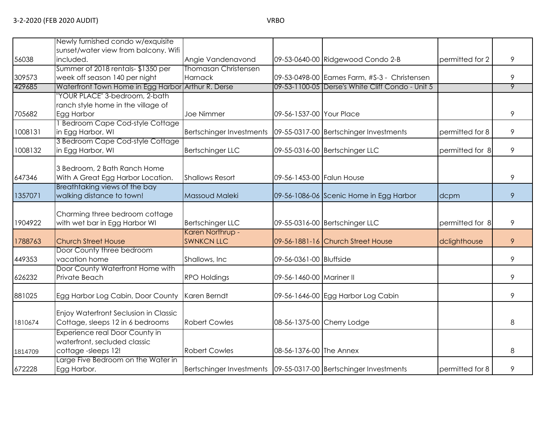|         | Newly furnished condo w/exquisite                                  |                                 |                           |                                                                     |                 |   |
|---------|--------------------------------------------------------------------|---------------------------------|---------------------------|---------------------------------------------------------------------|-----------------|---|
|         | sunset/water view from balcony. Wifi                               |                                 |                           |                                                                     |                 |   |
| 56038   | included.                                                          | Angie Vandenavond               |                           | 09-53-0640-00 Ridgewood Condo 2-B                                   | permitted for 2 | 9 |
|         | Summer of 2018 rentals-\$1350 per                                  | <b>Thomasan Christensen</b>     |                           |                                                                     |                 |   |
| 309573  | week off season 140 per night                                      | Harnack                         |                           | 09-53-0498-00 Eames Farm, #S-3 - Christensen                        |                 | 9 |
| 429685  | Waterfront Town Home in Egg Harbor                                 | Arthur R. Derse                 |                           | 09-53-1100-05 Derse's White Cliff Condo - Unit 5                    |                 | 9 |
|         | 'YOUR PLACE" 3-bedroom, 2-bath                                     |                                 |                           |                                                                     |                 |   |
|         | ranch style home in the village of                                 |                                 |                           |                                                                     |                 |   |
| 705682  | Egg Harbor                                                         | Joe Nimmer                      | 09-56-1537-00 Your Place  |                                                                     |                 | 9 |
|         | <b>Bedroom Cape Cod-style Cottage</b>                              |                                 |                           |                                                                     |                 |   |
| 1008131 | in Egg Harbor, WI                                                  | <b>Bertschinger Investments</b> |                           | 09-55-0317-00 Bertschinger Investments                              | permitted for 8 | 9 |
|         | 3 Bedroom Cape Cod-style Cottage                                   |                                 |                           |                                                                     |                 |   |
| 1008132 | in Egg Harbor, WI                                                  | <b>Bertschinger LLC</b>         |                           | 09-55-0316-00 Bertschinger LLC                                      | permitted for 8 | 9 |
|         |                                                                    |                                 |                           |                                                                     |                 |   |
|         | 3 Bedroom, 2 Bath Ranch Home                                       | <b>Shallows Resort</b>          | 09-56-1453-00 Falun House |                                                                     |                 | 9 |
| 647346  | With A Great Egg Harbor Location.<br>Breathtaking views of the bay |                                 |                           |                                                                     |                 |   |
| 1357071 | walking distance to town!                                          | Massoud Maleki                  |                           | 09-56-1086-06 Scenic Home in Egg Harbor                             | dcpm            | 9 |
|         |                                                                    |                                 |                           |                                                                     |                 |   |
|         | Charming three bedroom cottage                                     |                                 |                           |                                                                     |                 |   |
| 1904922 | with wet bar in Egg Harbor WI                                      | <b>Bertschinger LLC</b>         |                           | 09-55-0316-00 Bertschinger LLC                                      | permitted for 8 | 9 |
|         |                                                                    | Karen Northrup -                |                           |                                                                     |                 |   |
| 1788763 | <b>Church Street House</b>                                         | <b>SWNKCN LLC</b>               |                           | 09-56-1881-16 Church Street House                                   | dclighthouse    | 9 |
|         | Door County three bedroom                                          |                                 |                           |                                                                     |                 |   |
| 449353  | vacation home                                                      | Shallows, Inc                   | 09-56-0361-00 Bluffside   |                                                                     |                 | 9 |
|         | Door County Waterfront Home with                                   |                                 |                           |                                                                     |                 |   |
| 626232  | Private Beach                                                      | <b>RPO Holdings</b>             | 09-56-1460-00 Mariner II  |                                                                     |                 | 9 |
|         |                                                                    |                                 |                           |                                                                     |                 |   |
| 881025  | Egg Harbor Log Cabin, Door County                                  | Karen Berndt                    |                           | 09-56-1646-00 Egg Harbor Log Cabin                                  |                 | 9 |
|         |                                                                    |                                 |                           |                                                                     |                 |   |
|         | Enjoy Waterfront Seclusion in Classic                              |                                 |                           |                                                                     |                 |   |
| 1810674 | Cottage, sleeps 12 in 6 bedrooms                                   | <b>Robert Cowles</b>            |                           | 08-56-1375-00 Cherry Lodge                                          |                 | 8 |
|         | Experience real Door County in                                     |                                 |                           |                                                                     |                 |   |
|         | waterfront, secluded classic                                       |                                 |                           |                                                                     |                 |   |
| 1814709 | cottage-sleeps 12!                                                 | <b>Robert Cowles</b>            | 08-56-1376-00 The Annex   |                                                                     |                 | 8 |
|         | arge Five Bedroom on the Water in                                  |                                 |                           |                                                                     |                 |   |
| 672228  | Egg Harbor.                                                        |                                 |                           | Bertschinger Investments   09-55-0317-00   Bertschinger Investments | permitted for 8 | 9 |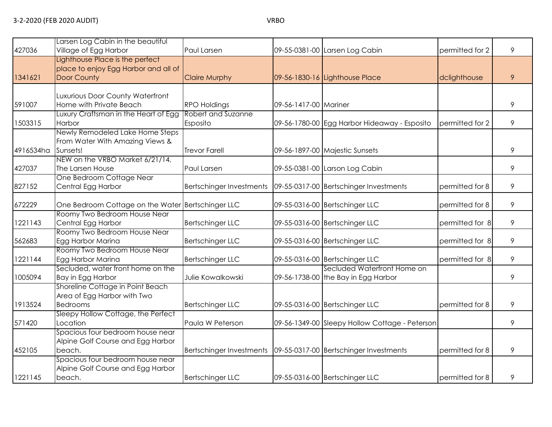| 427036    | Larsen Log Cabin in the beautiful<br>Village of Egg Harbor                                                               | Paul Larsen                                                       |                       | 09-55-0381-00 Larsen Log Cabin                                     | permitted for 2 | 9 |
|-----------|--------------------------------------------------------------------------------------------------------------------------|-------------------------------------------------------------------|-----------------------|--------------------------------------------------------------------|-----------------|---|
| 1341621   | Lighthouse Place is the perfect<br>place to enjoy Egg Harbor and all of<br>Door County                                   | <b>Claire Murphy</b>                                              |                       | 09-56-1830-16 Lighthouse Place                                     | dclighthouse    | 9 |
| 591007    | Luxurious Door County Waterfront<br>Home with Private Beach                                                              | <b>RPO Holdings</b>                                               | 09-56-1417-00 Mariner |                                                                    |                 | 9 |
| 1503315   | Luxury Craftsman in the Heart of Egg<br>Harbor                                                                           | Robert and Suzanne<br>Esposito                                    |                       | 09-56-1780-00 Egg Harbor Hideaway - Esposito                       | permitted for 2 | 9 |
| 4916534ha | Newly Remodeled Lake Home Steps<br>From Water With Amazing Views &<br>Sunsets!<br>NEW on the VRBO Market 6/21/14,        | <b>Trevor Farell</b>                                              |                       | 09-56-1897-00 Majestic Sunsets                                     |                 | 9 |
| 427037    | The Larsen House                                                                                                         | Paul Larsen                                                       |                       | 09-55-0381-00 Larson Log Cabin                                     |                 | 9 |
| 827152    | One Bedroom Cottage Near<br>Central Egg Harbor                                                                           | Bertschinger Investments                                          |                       | 09-55-0317-00 Bertschinger Investments                             | permitted for 8 | 9 |
| 672229    | One Bedroom Cottage on the Water Bertschinger LLC                                                                        |                                                                   |                       | 09-55-0316-00 Bertschinger LLC                                     | permitted for 8 | 9 |
| 1221143   | Roomy Two Bedroom House Near<br>Central Egg Harbor                                                                       | <b>Bertschinger LLC</b>                                           |                       | 09-55-0316-00 Bertschinger LLC                                     | permitted for 8 | 9 |
| 562683    | Roomy Two Bedroom House Near<br>Egg Harbor Marina                                                                        | <b>Bertschinger LLC</b>                                           |                       | 09-55-0316-00 Bertschinger LLC                                     | permitted for 8 | 9 |
| 1221144   | Roomy Two Bedroom House Near<br>Egg Harbor Marina                                                                        | <b>Bertschinger LLC</b>                                           |                       | 09-55-0316-00 Bertschinger LLC                                     | permitted for 8 | 9 |
| 1005094   | Secluded, water front home on the<br>Bay in Egg Harbor                                                                   | Julie Kowalkowski                                                 |                       | Secluded Waterfront Home on<br>09-56-1738-00 the Bay in Egg Harbor |                 | 9 |
| 1913524   | Shoreline Cottage in Point Beach<br>Area of Egg Harbor with Two<br><b>Bedrooms</b><br>Sleepy Hollow Cottage, the Perfect | <b>Bertschinger LLC</b>                                           |                       | 09-55-0316-00 Bertschinger LLC                                     | permitted for 8 | 9 |
| 571420    | Location                                                                                                                 | Paula W Peterson                                                  |                       | 09-56-1349-00 Sleepy Hollow Cottage - Peterson                     |                 | 9 |
| 452105    | Spacious four bedroom house near<br>Alpine Golf Course and Egg Harbor<br>beach.                                          | Bertschinger Investments   09-55-0317-00 Bertschinger Investments |                       |                                                                    | permitted for 8 | 9 |
| 1221145   | Spacious four bedroom house near<br>Alpine Golf Course and Egg Harbor<br>beach.                                          | <b>Bertschinger LLC</b>                                           |                       | 09-55-0316-00 Bertschinger LLC                                     | permitted for 8 | 9 |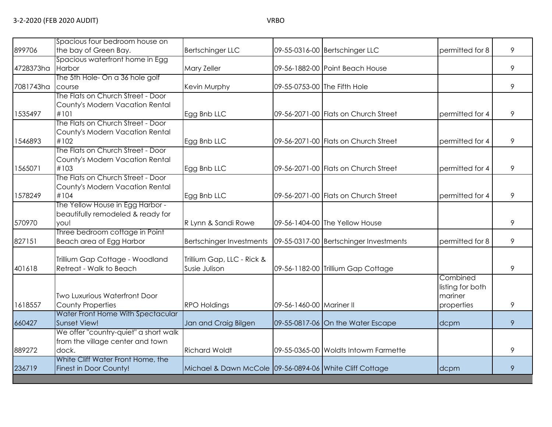| 899706    | Spacious four bedroom house on<br>the bay of Green Bay. | <b>Bertschinger LLC</b>                                 |                          | 09-55-0316-00 Bertschinger LLC         | permitted for 8  | 9 |
|-----------|---------------------------------------------------------|---------------------------------------------------------|--------------------------|----------------------------------------|------------------|---|
|           | Spacious waterfront home in Egg                         |                                                         |                          |                                        |                  |   |
| 4728373ha | Harbor                                                  | Mary Zeller                                             |                          | 09-56-1882-00 Point Beach House        |                  | 9 |
|           | The 5th Hole- On a 36 hole golf                         |                                                         |                          |                                        |                  |   |
| 7081743ha | course                                                  | Kevin Murphy                                            |                          | 09-55-0753-00 The Fifth Hole           |                  | 9 |
|           | The Flats on Church Street - Door                       |                                                         |                          |                                        |                  |   |
|           | County's Modern Vacation Rental                         |                                                         |                          |                                        |                  |   |
| 1535497   | #101                                                    | Egg Bnb LLC                                             |                          | 09-56-2071-00 Flats on Church Street   | permitted for 4  | 9 |
|           | The Flats on Church Street - Door                       |                                                         |                          |                                        |                  |   |
|           | County's Modern Vacation Rental                         |                                                         |                          |                                        |                  |   |
| 1546893   | #102                                                    | Egg Bnb LLC                                             |                          | 09-56-2071-00 Flats on Church Street   | permitted for 4  | 9 |
|           | The Flats on Church Street - Door                       |                                                         |                          |                                        |                  |   |
|           | County's Modern Vacation Rental                         |                                                         |                          |                                        |                  |   |
| 1565071   | #103                                                    | Egg Bnb LLC                                             |                          | 09-56-2071-00 Flats on Church Street   | permitted for 4  | 9 |
|           | The Flats on Church Street - Door                       |                                                         |                          |                                        |                  |   |
|           | County's Modern Vacation Rental                         |                                                         |                          |                                        |                  |   |
| 1578249   | #104                                                    | Egg Bnb LLC                                             |                          | 09-56-2071-00 Flats on Church Street   | permitted for 4  | 9 |
|           | The Yellow House in Egg Harbor -                        |                                                         |                          |                                        |                  |   |
|           | beautifully remodeled & ready for                       |                                                         |                          |                                        |                  |   |
| 570970    | you!                                                    | R Lynn & Sandi Rowe                                     |                          | 09-56-1404-00 The Yellow House         |                  | 9 |
|           | Three bedroom cottage in Point                          |                                                         |                          |                                        |                  |   |
| 827151    | Beach area of Egg Harbor                                | Bertschinger Investments                                |                          | 09-55-0317-00 Bertschinger Investments | permitted for 8  | 9 |
|           | Trillium Gap Cottage - Woodland                         | Trillium Gap, LLC - Rick &                              |                          |                                        |                  |   |
| 401618    | Retreat - Walk to Beach                                 | Susie Julison                                           |                          | 09-56-1182-00 Trillium Gap Cottage     |                  | 9 |
|           |                                                         |                                                         |                          |                                        | Combined         |   |
|           |                                                         |                                                         |                          |                                        | listing for both |   |
|           | Two Luxurious Waterfront Door                           |                                                         |                          |                                        | mariner          |   |
| 1618557   | <b>County Properties</b>                                | <b>RPO Holdings</b>                                     | 09-56-1460-00 Mariner II |                                        | properties       | 9 |
|           | Water Front Home With Spectacular                       |                                                         |                          |                                        |                  |   |
| 660427    | Sunset View!                                            | Jan and Craig Bilgen                                    |                          | 09-55-0817-06 On the Water Escape      | dcpm             | 9 |
|           | We offer "country-quiet" a short walk                   |                                                         |                          |                                        |                  |   |
|           | from the village center and town                        |                                                         |                          |                                        |                  |   |
| 889272    | dock.                                                   | <b>Richard Woldt</b>                                    |                          | 09-55-0365-00 Woldts Intowm Farmette   |                  | 9 |
|           | White Cliff Water Front Home, the                       |                                                         |                          |                                        |                  |   |
| 236719    | Finest in Door County!                                  | Michael & Dawn McCole 09-56-0894-06 White Cliff Cottage |                          |                                        | dcpm             | 9 |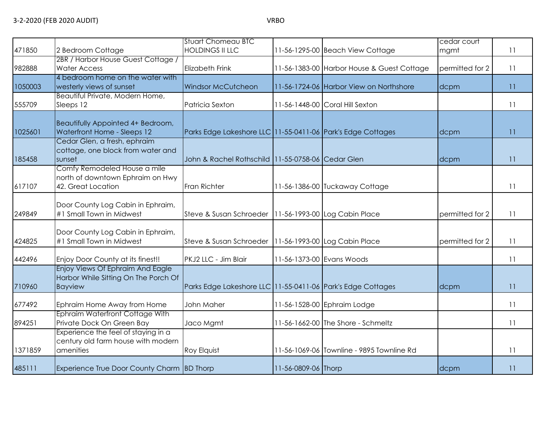| 471850  | 2 Bedroom Cottage                                                                          | <b>Stuart Chomeau BTC</b><br><b>HOLDINGS II LLC</b>             |                     | 11-56-1295-00 Beach View Cottage           | cedar court     | 11 |
|---------|--------------------------------------------------------------------------------------------|-----------------------------------------------------------------|---------------------|--------------------------------------------|-----------------|----|
|         | 2BR / Harbor House Guest Cottage /                                                         |                                                                 |                     |                                            | mgmt            |    |
| 982888  | <b>Water Access</b>                                                                        | <b>Elizabeth Frink</b>                                          |                     | 11-56-1383-00 Harbor House & Guest Cottage | permitted for 2 | 11 |
| 1050003 | 4 bedroom home on the water with<br>westerly views of sunset                               | Windsor McCutcheon                                              |                     | 11-56-1724-06 Harbor View on Northshore    | dcpm            | 11 |
| 555709  | Beautiful Private, Modern Home,<br>Sleeps 12                                               | Patricia Sexton                                                 |                     | 11-56-1448-00 Coral Hill Sexton            |                 | 11 |
| 1025601 | Beautifully Appointed 4+ Bedroom,<br>Waterfront Home - Sleeps 12                           | Parks Edge Lakeshore LLC 11-55-0411-06 Park's Edge Cottages     |                     |                                            | dcpm            | 11 |
| 185458  | Cedar Glen, a fresh, ephraim<br>cottage, one block from water and<br>sunset                | John & Rachel Rothschild 11-55-0758-06 Cedar Glen               |                     |                                            | dcpm            | 11 |
| 617107  | Comfy Remodeled House a mile<br>north of downtown Ephraim on Hwy<br>42. Great Location     | Fran Richter                                                    |                     | 11-56-1386-00 Tuckaway Cottage             |                 | 11 |
| 249849  | Door County Log Cabin in Ephraim,<br>#1 Small Town in Midwest                              | Steve & Susan Schroeder   11-56-1993-00 Log Cabin Place         |                     |                                            | permitted for 2 | 11 |
| 424825  | Door County Log Cabin in Ephraim,<br>#1 Small Town in Midwest                              | Steve & Susan Schroeder   11-56-1993-00 Log Cabin Place         |                     |                                            | permitted for 2 | 11 |
| 442496  | Enjoy Door County at its finest!!                                                          | PKJ2 LLC - Jim Blair                                            |                     | 11-56-1373-00 Evans Woods                  |                 | 11 |
| 710960  | Enjoy Views Of Ephraim And Eagle<br>Harbor While Sitting On The Porch Of<br><b>Bayview</b> | Parks Edge Lakeshore LLC   11-55-0411-06   Park's Edge Cottages |                     |                                            | dcpm            | 11 |
| 677492  | Ephraim Home Away from Home                                                                | John Maher                                                      |                     | 11-56-1528-00 Ephraim Lodge                |                 | 11 |
| 894251  | Ephraim Waterfront Cottage With<br>Private Dock On Green Bay                               | Jaco Mgmt                                                       |                     | 11-56-1662-00 The Shore - Schmeltz         |                 | 11 |
| 1371859 | Experience the feel of staying in a<br>century old farm house with modern<br>amenities     | Roy Elquist                                                     |                     | 11-56-1069-06 Townline - 9895 Townline Rd  |                 | 11 |
| 485111  | Experience True Door County Charm BD Thorp                                                 |                                                                 | 11-56-0809-06 Thorp |                                            | dcpm            | 11 |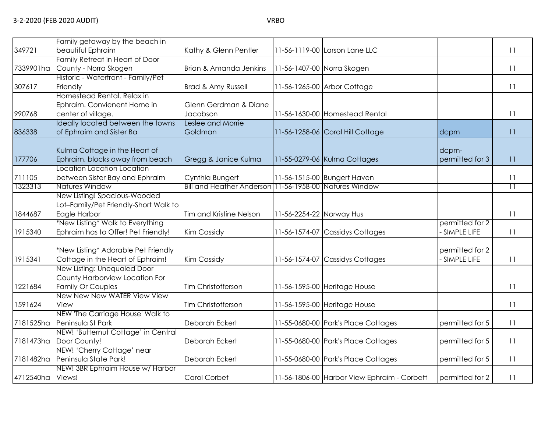| 349721           | Family getaway by the beach in<br>beautiful Ephraim                                   | Kathy & Glenn Pentler                                  |                          | 11-56-1119-00 Larson Lane LLC               |                                | 11              |
|------------------|---------------------------------------------------------------------------------------|--------------------------------------------------------|--------------------------|---------------------------------------------|--------------------------------|-----------------|
| 7339901ha        | Family Retreat in Heart of Door<br>County - Norra Skogen                              | Brian & Amanda Jenkins                                 |                          | 11-56-1407-00 Norra Skogen                  |                                | 11              |
| 307617           | Historic - Waterfront - Family/Pet<br>Friendly                                        | Brad & Amy Russell                                     |                          | 11-56-1265-00 Arbor Cottage                 |                                | 11              |
| 990768           | Homestead Rental, Relax in<br>Ephraim. Convienent Home in<br>center of village.       | Glenn Gerdman & Diane<br>Jacobson                      |                          | 11-56-1630-00 Homestead Rental              |                                | 11              |
| 836338           | Ideally located between the towns<br>of Ephraim and Sister Ba                         | Leslee and Morrie<br>Goldman                           |                          | 11-56-1258-06 Coral Hill Cottage            | dcpm                           | 11              |
| 177706           | Kulma Cottage in the Heart of<br>Ephraim, blocks away from beach                      | Gregg & Janice Kulma                                   |                          | 11-55-0279-06 Kulma Cottages                | dcpm-<br>permitted for 3       | 11              |
| 711105           | Location Location Location<br>between Sister Bay and Ephraim                          | Cynthia Bungert                                        |                          | 11-56-1515-00 Bungert Haven                 |                                | 11              |
| 1323313          | Natures Window                                                                        | Bill and Heather Anderson 11-56-1958-00 Natures Window |                          |                                             |                                | $\overline{11}$ |
| 1844687          | New Listing! Spacious-Wooded<br>Lot-Family/Pet Friendly-Short Walk to<br>Eagle Harbor | Tim and Kristine Nelson                                | 11-56-2254-22 Norway Hus |                                             |                                | 11              |
| 1915340          | *New Listing* Walk to Everything<br>Ephraim has to Offer! Pet Friendly!               | <b>Kim Cassidy</b>                                     | 11-56-1574-07            | <b>Cassidys Cottages</b>                    | permitted for 2<br>SIMPLE LIFE | 11              |
| 1915341          | *New Listing* Adorable Pet Friendly<br>Cottage in the Heart of Ephraim!               | <b>Kim Cassidy</b>                                     | 11-56-1574-07            | <b>Cassidys Cottages</b>                    | permitted for 2<br>SIMPLE LIFE | 11              |
| 1221684          | New Listing: Unequaled Door<br>County Harborview Location For<br>Family Or Couples    | Tim Christofferson                                     |                          | 11-56-1595-00 Heritage House                |                                | 11              |
| 1591624          | New New New WATER View View<br>View                                                   | Tim Christofferson                                     |                          | 11-56-1595-00 Heritage House                |                                | 11              |
| 7181525ha        | NEW 'The Carriage House' Walk to<br>Peninsula St Park                                 | Deborah Eckert                                         |                          | 11-55-0680-00 Park's Place Cottages         | permitted for 5                | 11              |
| 7181473ha        | NEW! 'Butternut Cottage' in Central<br>Door County!                                   | Deborah Eckert                                         |                          | 11-55-0680-00 Park's Place Cottages         | permitted for 5                | 11              |
| 7181482ha        | NEW! 'Cherry Cottage' near<br>Peninsula State Park!                                   | Deborah Eckert                                         |                          | 11-55-0680-00 Park's Place Cottages         | permitted for 5                | 11              |
| 4712540ha Views! | NEW! 3BR Ephraim House w/ Harbor                                                      | Carol Corbet                                           |                          | 11-56-1806-00 Harbor View Ephraim - Corbett | permitted for 2                | 11              |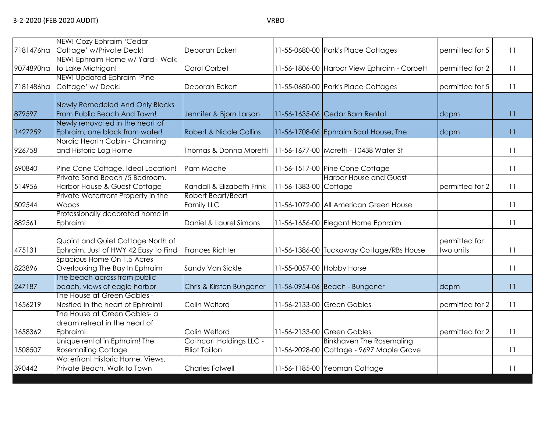| 7181476ha | NEW! Cozy Ephraim 'Cedar<br>Cottage' w/Private Deck!                      | Deborah Eckert                                          |                           | 11-55-0680-00 Park's Place Cottages                                         | permitted for 5            | 11 |
|-----------|---------------------------------------------------------------------------|---------------------------------------------------------|---------------------------|-----------------------------------------------------------------------------|----------------------------|----|
| 9074890ha | NEW! Ephraim Home w/ Yard - Walk<br>to Lake Michigan!                     | Carol Corbet                                            |                           | 11-56-1806-00 Harbor View Ephraim - Corbett                                 | permitted for 2            | 11 |
| 7181486ha | NEW! Updated Ephraim 'Pine<br>Cottage' w/ Deck!                           | Deborah Eckert                                          |                           | 11-55-0680-00 Park's Place Cottages                                         | permitted for 5            | 11 |
| 879597    | Newly Remodeled And Only Blocks<br>From Public Beach And Town!            | Jennifer & Bjorn Larson                                 |                           | 11-56-1635-06 Cedar Barn Rental                                             | dcpm                       | 11 |
| 1427259   | Newly renovated in the heart of<br>Ephraim, one block from water!         | <b>Robert &amp; Nicole Collins</b>                      |                           | 11-56-1708-06 Ephraim Boat House, The                                       | dcpm                       | 11 |
| 926758    | Nordic Hearth Cabin - Charming<br>and Historic Log Home                   | Thomas & Donna Moretti                                  |                           | 11-56-1677-00 Moretti - 10438 Water St                                      |                            | 11 |
| 690840    | Pine Cone Cottage, Ideal Location!                                        | Pam Mache                                               |                           | 11-56-1517-00 Pine Cone Cottage                                             |                            | 11 |
| 514956    | Private Sand Beach /5 Bedroom.<br>Harbor House & Guest Cottage            | Randall & Elizabeth Frink                               | 11-56-1383-00 Cottage     | <b>Harbor House and Guest</b>                                               | permitted for 2            | 11 |
| 502544    | Private Waterfront Property in the<br>Woods                               | Robert Beart/Beart<br>Family LLC                        |                           | 11-56-1072-00 All American Green House                                      |                            | 11 |
| 882561    | Professionally decorated home in<br>Ephraim!                              | Daniel & Laurel Simons                                  |                           | 11-56-1656-00 Elegant Home Ephraim                                          |                            | 11 |
| 475131    | Quaint and Quiet Cottage North of<br>Ephraim, Just of HWY 42 Easy to Find | <b>Frances Richter</b>                                  |                           | 11-56-1386-00 Tuckaway Cottage/RBs House                                    | permitted for<br>two units | 11 |
| 823896    | Spacious Home On 1.5 Acres<br>Overlooking The Bay In Ephraim              | Sandy Van Sickle                                        | 11-55-0057-00 Hobby Horse |                                                                             |                            | 11 |
| 247187    | The beach across from public<br>beach, views of eagle harbor              | Chris & Kirsten Bungener                                |                           | 11-56-0954-06 Beach - Bungener                                              | dcpm                       | 11 |
| 1656219   | The House at Green Gables -<br>Nestled in the heart of Ephraim!           | Colin Welford                                           |                           | 11-56-2133-00 Green Gables                                                  | permitted for 2            | 11 |
| 1658362   | The House at Green Gables- a<br>dream retreat in the heart of<br>Ephraim! | Colin Welford                                           |                           | 11-56-2133-00 Green Gables                                                  | permitted for 2            | 11 |
| 1508507   | Unique rental in Ephraim! The<br><b>Rosemailing Cottage</b>               | <b>Cathcart Holdings LLC -</b><br><b>Elliot Taillon</b> |                           | <b>Binkhaven The Rosemaling</b><br>11-56-2028-00 Cottage - 9697 Maple Grove |                            | 11 |
| 390442    | Waterfront Historic Home, Views,<br>Private Beach, Walk to Town           | <b>Charles Falwell</b>                                  |                           | 11-56-1185-00 Yeoman Cottage                                                |                            | 11 |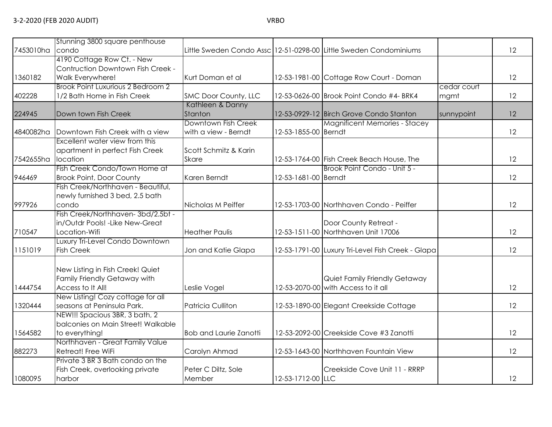|           | Stunning 3800 square penthouse     |                               |                      |                                                                   |             |    |
|-----------|------------------------------------|-------------------------------|----------------------|-------------------------------------------------------------------|-------------|----|
| 7453010ha | condo                              |                               |                      | Little Sweden Condo Assc 12-51-0298-00 Little Sweden Condominiums |             | 12 |
|           | 4190 Cottage Row Ct. - New         |                               |                      |                                                                   |             |    |
|           | Contruction Downtown Fish Creek -  |                               |                      |                                                                   |             |    |
| 1360182   | Walk Everywhere!                   | Kurt Doman et al              |                      | 12-53-1981-00 Cottage Row Court - Doman                           |             | 12 |
|           | Brook Point Luxurious 2 Bedroom 2  |                               |                      |                                                                   | cedar court |    |
| 402228    | 1/2 Bath Home in Fish Creek        | SMC Door County, LLC          |                      | 12-53-0626-00 Brook Point Condo #4- BRK4                          | mgmt        | 12 |
|           |                                    | Kathleen & Danny              |                      |                                                                   |             |    |
| 224945    | Down town Fish Creek               | Stanton                       |                      | 12-53-0929-12 Birch Grove Condo Stanton                           | sunnypoint  | 12 |
|           |                                    | Downtown Fish Creek           |                      | <b>Magnificent Memories - Stacey</b>                              |             |    |
| 4840082ha | Downtown Fish Creek with a view    | with a view - Berndt          | 12-53-1855-00 Berndt |                                                                   |             | 12 |
|           | Excellent water view from this     |                               |                      |                                                                   |             |    |
|           | apartment in perfect Fish Creek    | Scott Schmitz & Karin         |                      |                                                                   |             |    |
| 7542655ha | location                           | <b>Skare</b>                  |                      | 12-53-1764-00 Fish Creek Beach House, The                         |             | 12 |
|           | Fish Creek Condo/Town Home at      |                               |                      | Brook Point Condo - Unit 5 -                                      |             |    |
| 946469    | <b>Brook Point, Door County</b>    | Karen Berndt                  | 12-53-1681-00 Berndt |                                                                   |             | 12 |
|           | Fish Creek/Northhaven - Beautiful, |                               |                      |                                                                   |             |    |
|           | newly furnished 3 bed, 2.5 bath    |                               |                      |                                                                   |             |    |
| 997926    | condo                              | Nicholas M Peiffer            |                      | 12-53-1703-00 Northhaven Condo - Peiffer                          |             | 12 |
|           | Fish Creek/Northhaven-3bd/2.5bt -  |                               |                      |                                                                   |             |    |
|           | in/Outdr Pools! - Like New-Great   |                               |                      | Door County Retreat -                                             |             |    |
| 710547    | Location-Wifi                      | <b>Heather Paulis</b>         |                      | 12-53-1511-00 Northhaven Unit 17006                               |             | 12 |
|           | Luxury Tri-Level Condo Downtown    |                               |                      |                                                                   |             |    |
| 1151019   | <b>Fish Creek</b>                  | Jon and Katie Glapa           |                      | 12-53-1791-00 Luxury Tri-Level Fish Creek - Glapa                 |             | 12 |
|           |                                    |                               |                      |                                                                   |             |    |
|           | New Listing in Fish Creek! Quiet   |                               |                      |                                                                   |             |    |
|           | Family Friendly Getaway with       |                               |                      | Quiet Family Friendly Getaway                                     |             |    |
| 1444754   | Access to It All!                  | Leslie Vogel                  |                      | 12-53-2070-00 with Access to it all                               |             | 12 |
|           | New Listing! Cozy cottage for all  |                               |                      |                                                                   |             |    |
| 1320444   | seasons at Peninsula Park.         | <b>Patricia Culliton</b>      |                      | 12-53-1890-00 Elegant Creekside Cottage                           |             | 12 |
|           | NEW!!! Spacious 3BR, 3 bath, 2     |                               |                      |                                                                   |             |    |
|           | balconies on Main Street! Walkable |                               |                      |                                                                   |             |    |
| 1564582   | to everything!                     | <b>Bob and Laurie Zanotti</b> |                      | 12-53-2092-00 Creekside Cove #3 Zanotti                           |             | 12 |
|           | Northhaven - Great Family Value    |                               |                      |                                                                   |             |    |
| 882273    | Retreat! Free WiFi                 | Carolyn Ahmad                 |                      | 12-53-1643-00 Northhaven Fountain View                            |             | 12 |
|           | Private 3 BR 3 Bath condo on the   |                               |                      |                                                                   |             |    |
|           | Fish Creek, overlooking private    | Peter C Diltz, Sole           |                      | Creekside Cove Unit 11 - RRRP                                     |             |    |
| 1080095   | harbor                             | Member                        | 12-53-1712-00 LLC    |                                                                   |             | 12 |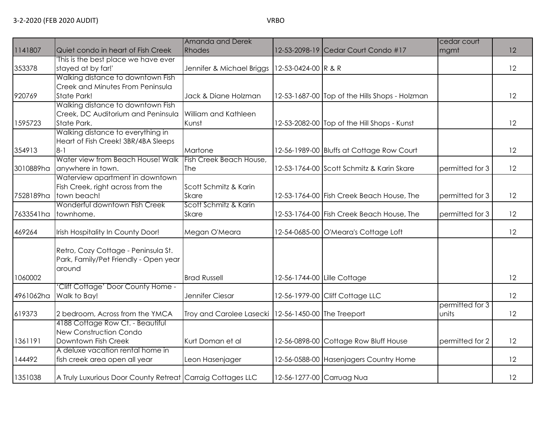|           |                                                            | Amanda and Derek                                      |                     |                                                | cedar court     |    |
|-----------|------------------------------------------------------------|-------------------------------------------------------|---------------------|------------------------------------------------|-----------------|----|
| 1141807   | Quiet condo in heart of Fish Creek                         | Rhodes                                                |                     | 12-53-2098-19 Cedar Court Condo #17            | mgmt            | 12 |
|           | This is the best place we have ever                        |                                                       |                     |                                                |                 |    |
| 353378    | stayed at by far!'                                         | Jennifer & Michael Briggs                             | 12-53-0424-00 R & R |                                                |                 | 12 |
|           | Walking distance to downtown Fish                          |                                                       |                     |                                                |                 |    |
|           | Creek and Minutes From Peninsula                           |                                                       |                     |                                                |                 |    |
| 920769    | <b>State Park!</b>                                         | Jack & Diane Holzman                                  |                     | 12-53-1687-00 Top of the Hills Shops - Holzman |                 | 12 |
|           | Walking distance to downtown Fish                          |                                                       |                     |                                                |                 |    |
|           | Creek, DC Auditorium and Peninsula                         | William and Kathleen                                  |                     |                                                |                 |    |
| 1595723   | State Park.                                                | Kunst                                                 |                     | 12-53-2082-00 Top of the Hill Shops - Kunst    |                 | 12 |
|           | Walking distance to everything in                          |                                                       |                     |                                                |                 |    |
|           | Heart of Fish Creek! 3BR/4BA Sleeps                        |                                                       |                     |                                                |                 |    |
| 354913    | $8 - 1$                                                    | Martone                                               |                     | 12-56-1989-00 Bluffs at Cottage Row Court      |                 | 12 |
|           | Water view from Beach House! Walk                          | Fish Creek Beach House,                               |                     |                                                |                 |    |
| 3010889ha | anywhere in town.                                          | The                                                   |                     | 12-53-1764-00 Scott Schmitz & Karin Skare      | permitted for 3 | 12 |
|           | Waterview apartment in downtown                            |                                                       |                     |                                                |                 |    |
|           | Fish Creek, right across from the                          | Scott Schmitz & Karin                                 |                     |                                                |                 |    |
| 7528189ha | town beach!                                                | <b>Skare</b>                                          |                     | 12-53-1764-00 Fish Creek Beach House, The      | permitted for 3 | 12 |
|           | Wonderful downtown Fish Creek                              | Scott Schmitz & Karin                                 |                     |                                                |                 |    |
| 7633541ha | townhome.                                                  | <b>Skare</b>                                          |                     | 12-53-1764-00 Fish Creek Beach House, The      | permitted for 3 | 12 |
| 469264    | Irish Hospitality In County Door!                          | Megan O'Meara                                         |                     | 12-54-0685-00 O'Meara's Cottage Loft           |                 | 12 |
|           |                                                            |                                                       |                     |                                                |                 |    |
|           | Retro, Cozy Cottage - Peninsula St.                        |                                                       |                     |                                                |                 |    |
|           | Park, Family/Pet Friendly - Open year                      |                                                       |                     |                                                |                 |    |
| 1060002   | around                                                     | <b>Brad Russell</b>                                   |                     |                                                |                 | 12 |
|           | Cliff Cottage' Door County Home -                          |                                                       |                     | 12-56-1744-00 Lille Cottage                    |                 |    |
| 4961062ha | Walk to Bay!                                               | Jennifer Ciesar                                       |                     | 12-56-1979-00 Cliff Cottage LLC                |                 | 12 |
|           |                                                            |                                                       |                     |                                                | permitted for 3 |    |
| 619373    | 2 bedroom, Across from the YMCA                            | Troy and Carolee Lasecki   12-56-1450-00 The Treeport |                     |                                                | units           | 12 |
|           | 4188 Cottage Row Ct. - Beautiful                           |                                                       |                     |                                                |                 |    |
|           | <b>New Construction Condo</b>                              |                                                       |                     |                                                |                 |    |
| 1361191   | Downtown Fish Creek                                        | Kurt Doman et al                                      |                     | 12-56-0898-00 Cottage Row Bluff House          | permitted for 2 | 12 |
|           | A deluxe vacation rental home in                           |                                                       |                     |                                                |                 |    |
| 144492    | fish creek area open all year                              | Leon Hasenjager                                       |                     | 12-56-0588-00 Hasenjagers Country Home         |                 | 12 |
|           |                                                            |                                                       |                     |                                                |                 |    |
| 1351038   | A Truly Luxurious Door County Retreat Carraig Cottages LLC |                                                       |                     | 12-56-1277-00 Carruag Nua                      |                 | 12 |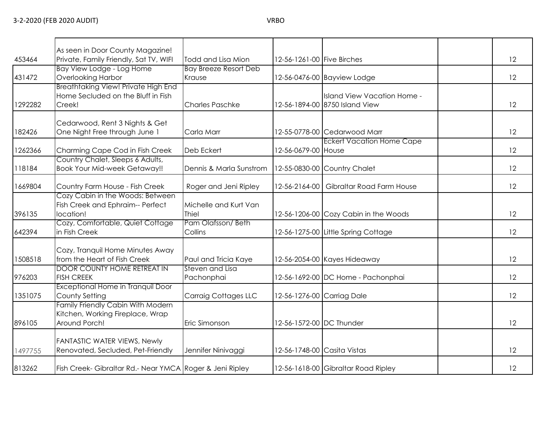| 453464  | As seen in Door County Magazine!<br>Private, Family Friendly, Sat TV, WIFI             | Todd and Lisa Mion             | 12-56-1261-00 Five Birches  |                                                               | 12 |
|---------|----------------------------------------------------------------------------------------|--------------------------------|-----------------------------|---------------------------------------------------------------|----|
|         | Bay View Lodge - Log Home                                                              | <b>Bay Breeze Resort Deb</b>   |                             |                                                               |    |
| 431472  | <b>Overlooking Harbor</b>                                                              | Krause                         |                             | 12-56-0476-00 Bayview Lodge                                   | 12 |
| 1292282 | Breathtaking View! Private High End<br>Home Secluded on the Bluff in Fish<br>Creek!    | <b>Charles Paschke</b>         |                             | Island View Vacation Home -<br>12-56-1894-00 8750 Island View | 12 |
|         |                                                                                        |                                |                             |                                                               |    |
| 182426  | Cedarwood, Rent 3 Nights & Get<br>One Night Free through June 1                        | Carla Marr                     |                             | 12-55-0778-00 Cedarwood Marr                                  | 12 |
| 1262366 | Charming Cape Cod in Fish Creek                                                        | Deb Eckert                     | 12-56-0679-00 House         | <b>Eckert Vacation Home Cape</b>                              | 12 |
| 118184  | Country Chalet, Sleeps 6 Adults,<br><b>Book Your Mid-week Getaway!!</b>                | Dennis & Marla Sunstrom        |                             | 12-55-0830-00 Country Chalet                                  | 12 |
| 1669804 | Country Farm House - Fish Creek                                                        | Roger and Jeni Ripley          |                             | 12-56-2164-00 Gibraltar Road Farm House                       | 12 |
| 396135  | Cozy Cabin in the Woods: Between<br>Fish Creek and Ephraim-- Perfect<br>location!      | Michelle and Kurt Van<br>Thiel |                             | 12-56-1206-00 Cozy Cabin in the Woods                         | 12 |
| 642394  | Cozy, Comfortable, Quiet Cottage<br>in Fish Creek                                      | Pam Olafsson/Beth<br>Collins   |                             | 12-56-1275-00 Little Spring Cottage                           | 12 |
| 1508518 | Cozy, Tranquil Home Minutes Away<br>from the Heart of Fish Creek                       | Paul and Tricia Kaye           |                             | 12-56-2054-00 Kayes Hideaway                                  | 12 |
| 976203  | <b>DOOR COUNTY HOME RETREAT IN</b><br><b>FISH CREEK</b>                                | Steven and Lisa<br>Pachonphai  |                             | 12-56-1692-00 DC Home - Pachonphai                            | 12 |
| 1351075 | Exceptional Home in Tranquil Door<br>County Setting                                    | <b>Carraig Cottages LLC</b>    |                             | 12-56-1276-00 Carriag Dale                                    | 12 |
| 896105  | Family Friendly Cabin With Modern<br>Kitchen, Working Fireplace, Wrap<br>Around Porch! | Eric Simonson                  | 12-56-1572-00 DC Thunder    |                                                               | 12 |
| 1497755 | FANTASTIC WATER VIEWS, Newly<br>Renovated, Secluded, Pet-Friendly                      | Jennifer Ninivaggi             | 12-56-1748-00 Casita Vistas |                                                               | 12 |
| 813262  | Fish Creek- Gibraltar Rd.- Near YMCA Roger & Jeni Ripley                               |                                |                             | 12-56-1618-00 Gibraltar Road Ripley                           | 12 |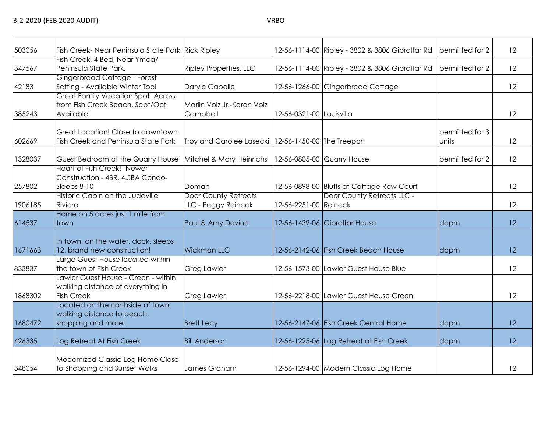| 503056  | Fish Creek- Near Peninsula State Park Rick Ripley                                                      |                                                       |                          | 12-56-1114-00 Ripley - 3802 & 3806 Gibraltar Rd | permitted for 2          | 12 |
|---------|--------------------------------------------------------------------------------------------------------|-------------------------------------------------------|--------------------------|-------------------------------------------------|--------------------------|----|
| 347567  | Fish Creek, 4 Bed, Near Ymca/<br>Peninsula State Park.                                                 | <b>Ripley Properties, LLC</b>                         |                          | 12-56-1114-00 Ripley - 3802 & 3806 Gibraltar Rd | permitted for 2          | 12 |
| 42183   | Gingerbread Cottage - Forest<br>Setting - Available Winter Too!                                        | Daryle Capelle                                        |                          | 12-56-1266-00 Gingerbread Cottage               |                          | 12 |
| 385243  | <b>Great Family Vacation Spot! Across</b><br>from Fish Creek Beach. Sept/Oct<br>Available!             | Marlin Volz Jr.-Karen Volz<br>Campbell                | 12-56-0321-00 Louisvilla |                                                 |                          | 12 |
| 602669  | Great Location! Close to downtown<br>Fish Creek and Peninsula State Park                               | Troy and Carolee Lasecki   12-56-1450-00 The Treeport |                          |                                                 | permitted for 3<br>units | 12 |
| 1328037 | Guest Bedroom at the Quarry House                                                                      | Mitchel & Mary Heinrichs                              |                          | 12-56-0805-00 Quarry House                      | permitted for 2          | 12 |
| 257802  | Heart of Fish Creek!- Newer<br>Construction - 4BR, 4.5BA Condo-<br>Sleeps 8-10                         | Doman                                                 |                          | 12-56-0898-00 Bluffs at Cottage Row Court       |                          | 12 |
| 1906185 | Historic Cabin on the Juddville<br>Riviera                                                             | <b>Door County Retreats</b><br>LLC - Peggy Reineck    | 12-56-2251-00 Reineck    | Door County Retreats LLC -                      |                          | 12 |
| 614537  | Home on 5 acres just 1 mile from<br>ltown.                                                             | Paul & Amy Devine                                     |                          | 12-56-1439-06 Gibraltar House                   | dcpm                     | 12 |
| 1671663 | In town, on the water, dock, sleeps<br>12, brand new construction!<br>Large Guest House located within | <b>Wickman LLC</b>                                    |                          | 12-56-2142-06 Fish Creek Beach House            | dcpm                     | 12 |
| 833837  | the town of Fish Creek                                                                                 | <b>Greg Lawler</b>                                    |                          | 12-56-1573-00 Lawler Guest House Blue           |                          | 12 |
| 1868302 | Lawler Guest House - Green - within<br>walking distance of everything in<br><b>Fish Creek</b>          | <b>Greg Lawler</b>                                    |                          | 12-56-2218-00 Lawler Guest House Green          |                          | 12 |
| 1680472 | Located on the northside of town,<br>walking distance to beach,<br>shopping and more!                  | <b>Brett Lecy</b>                                     |                          | 12-56-2147-06 Fish Creek Central Home           | dcpm                     | 12 |
| 426335  | Log Retreat At Fish Creek                                                                              | <b>Bill Anderson</b>                                  |                          | 12-56-1225-06 Log Retreat at Fish Creek         | dcpm                     | 12 |
| 348054  | Modernized Classic Log Home Close<br>to Shopping and Sunset Walks                                      | James Graham                                          |                          | 12-56-1294-00 Modern Classic Log Home           |                          | 12 |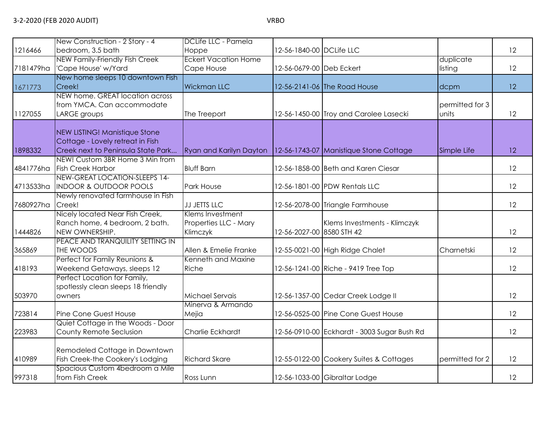|           | New Construction - 2 Story - 4                                                                                 | DCLife LLC - Pamela                                   |                           |                                             |                          |    |
|-----------|----------------------------------------------------------------------------------------------------------------|-------------------------------------------------------|---------------------------|---------------------------------------------|--------------------------|----|
| 1216466   | bedroom, 3.5 bath                                                                                              | Hoppe                                                 | 12-56-1840-00 DCLife LLC  |                                             |                          | 12 |
|           | <b>NEW Family-Friendly Fish Creek</b>                                                                          | <b>Eckert Vacation Home</b>                           |                           |                                             | duplicate                |    |
| 7181479ha | 'Cape House' w/Yard<br>New home sleeps 10 downtown Fish                                                        | Cape House                                            | 12-56-0679-00 Deb Eckert  |                                             | listing                  | 12 |
| 1671773   | Creek!                                                                                                         | <b>Wickman LLC</b>                                    |                           | 12-56-2141-06 The Road House                | dcpm                     | 12 |
| 1127055   | NEW home. GREAT location across<br>from YMCA. Can accommodate<br>LARGE groups                                  | The Treeport                                          |                           | 12-56-1450-00 Troy and Carolee Lasecki      | permitted for 3<br>units | 12 |
| 1898332   | <b>NEW LISTING! Manistique Stone</b><br>Cottage - Lovely retreat in Fish<br>Creek next to Peninsula State Park | Ryan and Karilyn Dayton                               |                           | 12-56-1743-07 Manistique Stone Cottage      | Simple Life              | 12 |
| 4841776ha | NEW! Custom 3BR Home 3 Min from<br><b>Fish Creek Harbor</b>                                                    | <b>Bluff Barn</b>                                     |                           | 12-56-1858-00 Beth and Karen Ciesar         |                          | 12 |
| 4713533ha | NEW-GREAT LOCATION-SLEEPS 14-<br><b>INDOOR &amp; OUTDOOR POOLS</b>                                             | Park House                                            |                           | 12-56-1801-00 PDW Rentals LLC               |                          | 12 |
| 7680927ha | Newly renovated farmhouse in Fish<br>Creek!                                                                    | JJ JETTS LLC                                          |                           | 12-56-2078-00 Triangle Farmhouse            |                          | 12 |
| 1444826   | Nicely located Near Fish Creek,<br>Ranch home, 4 bedroom, 2 bath.<br>NEW OWNERSHIP.                            | Klems Investment<br>Properties LLC - Mary<br>Klimczyk | 12-56-2027-00 8580 STH 42 | Klems Investments - Klimczyk                |                          | 12 |
| 365869    | PEACE AND TRANQUILITY SETTING IN<br>THE WOODS                                                                  | Allen & Emelie Franke                                 |                           | 12-55-0021-00 High Ridge Chalet             | Charnetski               | 12 |
| 418193    | Perfect for Family Reunions &<br>Weekend Getaways, sleeps 12                                                   | Kenneth and Maxine<br>Riche                           |                           | 12-56-1241-00 Riche - 9419 Tree Top         |                          | 12 |
| 503970    | Perfect Location for Family,<br>spotlessly clean sleeps 18 friendly<br>owners                                  | Michael Servais                                       |                           | 12-56-1357-00 Cedar Creek Lodge II          |                          | 12 |
| 723814    | Pine Cone Guest House                                                                                          | Minerva & Armando<br>Mejia                            |                           | 12-56-0525-00 Pine Cone Guest House         |                          | 12 |
| 223983    | Quiet Cottage in the Woods - Door<br>County Remote Seclusion                                                   | Charlie Eckhardt                                      |                           | 12-56-0910-00 Eckhardt - 3003 Sugar Bush Rd |                          | 12 |
| 410989    | Remodeled Cottage in Downtown<br>Fish Creek-the Cookery's Lodging                                              | <b>Richard Skare</b>                                  |                           | 12-55-0122-00 Cookery Suites & Cottages     | permitted for 2          | 12 |
| 997318    | Spacious Custom 4bedroom a Mile<br>from Fish Creek                                                             | Ross Lunn                                             |                           | 12-56-1033-00 Gibraltar Lodge               |                          | 12 |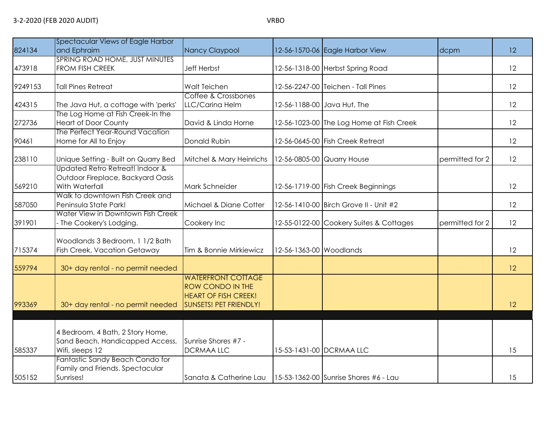| 824134  | Spectacular Views of Eagle Harbor<br>and Ephraim                                       | Nancy Claypool                                                                                                       |                         | 12-56-1570-06 Eagle Harbor View          | dcpm            | 12 |
|---------|----------------------------------------------------------------------------------------|----------------------------------------------------------------------------------------------------------------------|-------------------------|------------------------------------------|-----------------|----|
| 473918  | SPRING ROAD HOME, JUST MINUTES<br>FROM FISH CREEK                                      | <b>Jeff Herbst</b>                                                                                                   |                         | 12-56-1318-00 Herbst Spring Road         |                 | 12 |
| 9249153 | <b>Tall Pines Retreat</b>                                                              | Walt Teichen                                                                                                         |                         | 12-56-2247-00 Teichen - Tall Pines       |                 | 12 |
| 424315  | The Java Hut, a cottage with 'perks'                                                   | Coffee & Crossbones<br>LLC/Carina Helm                                                                               |                         | 12-56-1188-00 Java Hut, The              |                 | 12 |
| 272736  | The Log Home at Fish Creek-In the<br><b>Heart of Door County</b>                       | David & Linda Horne                                                                                                  |                         | 12-56-1023-00 The Log Home at Fish Creek |                 | 12 |
| 90461   | The Perfect Year-Round Vacation<br>Home for All to Enjoy                               | Donald Rubin                                                                                                         |                         | 12-56-0645-00 Fish Creek Retreat         |                 | 12 |
| 238110  | Unique Setting - Built on Quarry Bed                                                   | Mitchel & Mary Heinrichs                                                                                             |                         | 12-56-0805-00 Quarry House               | permitted for 2 | 12 |
| 569210  | Updated Retro Retreat! Indoor &<br>Outdoor Fireplace, Backyard Oasis<br>With Waterfall | Mark Schneider                                                                                                       |                         | 12-56-1719-00 Fish Creek Beginnings      |                 | 12 |
| 587050  | Walk to downtown Fish Creek and<br>Peninsula State Park!                               | Michael & Diane Cotter                                                                                               |                         | 12-56-1410-00 Birch Grove II - Unit #2   |                 | 12 |
| 391901  | Water View in Downtown Fish Creek<br>The Cookery's Lodging.                            | Cookery Inc                                                                                                          |                         | 12-55-0122-00 Cookery Suites & Cottages  | permitted for 2 | 12 |
| 715374  | Woodlands 3 Bedroom, 1 1/2 Bath<br>Fish Creek, Vacation Getaway                        | Tim & Bonnie Mirkiewicz                                                                                              | 12-56-1363-00 Woodlands |                                          |                 | 12 |
| 559794  | 30+ day rental - no permit needed                                                      |                                                                                                                      |                         |                                          |                 | 12 |
| 993369  | 30+ day rental - no permit needed                                                      | <b>WATERFRONT COTTAGE</b><br><b>ROW CONDO IN THE</b><br><b>HEART OF FISH CREEK!</b><br><b>SUNSETS! PET FRIENDLY!</b> |                         |                                          |                 | 12 |
|         |                                                                                        |                                                                                                                      |                         |                                          |                 |    |
| 585337  | 4 Bedroom, 4 Bath, 2 Story Home,<br>Sand Beach, Handicapped Access,<br>Wifi, sleeps 12 | Sunrise Shores #7 -<br><b>DCRMAA LLC</b>                                                                             |                         | 15-53-1431-00 DCRMAA LLC                 |                 | 15 |
| 505152  | Fantastic Sandy Beach Condo for<br>Family and Friends. Spectacular<br>Sunrises!        | Sanata & Catherine Lau                                                                                               |                         | 15-53-1362-00 Sunrise Shores #6 - Lau    |                 | 15 |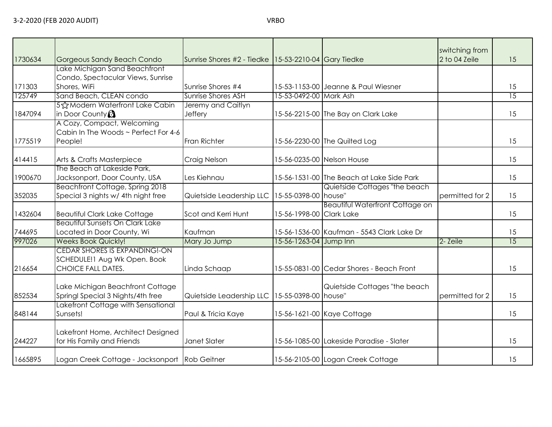| 1730634 | Gorgeous Sandy Beach Condo                                                                  | Sunrise Shores #2 - Tiedke 15-53-2210-04 Gary Tiedke |                          |                                            | switching from<br>2 to 04 Zeile | 15 |
|---------|---------------------------------------------------------------------------------------------|------------------------------------------------------|--------------------------|--------------------------------------------|---------------------------------|----|
|         | Lake Michigan Sand Beachfront                                                               |                                                      |                          |                                            |                                 |    |
|         | Condo, Spectacular Views, Sunrise                                                           |                                                      |                          |                                            |                                 |    |
| 171303  | Shores, WiFi                                                                                | Sunrise Shores #4                                    |                          | 15-53-1153-00 Jeanne & Paul Wiesner        |                                 | 15 |
| 125749  | Sand Beach, CLEAN condo                                                                     | Sunrise Shores ASH                                   | 15-53-0492-00 Mark Ash   |                                            |                                 | 15 |
|         | 5 ☆ Modern Waterfront Lake Cabin                                                            | Jeremy and Caitlyn                                   |                          |                                            |                                 |    |
| 1847094 | in Door County $\Omega$                                                                     | Jeffery                                              |                          | 15-56-2215-00 The Bay on Clark Lake        |                                 | 15 |
|         | A Cozy, Compact, Welcoming                                                                  |                                                      |                          |                                            |                                 |    |
|         | Cabin In The Woods ~ Perfect For 4-6                                                        |                                                      |                          |                                            |                                 |    |
| 1775519 |                                                                                             | Fran Richter                                         |                          | 15-56-2230-00 The Quilted Log              |                                 | 15 |
|         | People!                                                                                     |                                                      |                          |                                            |                                 |    |
| 414415  | Arts & Crafts Masterpiece                                                                   | Craig Nelson                                         |                          | 15-56-0235-00 Nelson House                 |                                 | 15 |
|         | The Beach at Lakeside Park,                                                                 |                                                      |                          |                                            |                                 |    |
| 1900670 | Jacksonport, Door County, USA                                                               | Les Kiehnau                                          |                          | 15-56-1531-00 The Beach at Lake Side Park  |                                 | 15 |
|         | Beachfront Cottage, Spring 2018                                                             |                                                      |                          | Quietside Cottages "the beach              |                                 |    |
| 352035  | Special 3 nights w/ 4th night free                                                          | Quietside Leadership LLC                             | 15-55-0398-00 house"     |                                            | permitted for 2                 | 15 |
|         |                                                                                             |                                                      |                          | <b>Beautiful Waterfront Cottage on</b>     |                                 |    |
| 1432604 | <b>Beautiful Clark Lake Cottage</b>                                                         | Scot and Kerri Hunt                                  | 15-56-1998-00 Clark Lake |                                            |                                 | 15 |
|         | <b>Beautiful Sunsets On Clark Lake</b>                                                      |                                                      |                          |                                            |                                 |    |
| 744695  | Located in Door County, Wi                                                                  | Kaufman                                              |                          | 15-56-1536-00 Kaufman - 5543 Clark Lake Dr |                                 | 15 |
| 997026  | <b>Weeks Book Quickly!</b>                                                                  | Mary Jo Jump                                         | 15-56-1263-04 Jump Inn   |                                            | 2- Zeile                        | 15 |
| 216654  | CEDAR SHORES IS EXPANDING!-ON<br>SCHEDULE! I Aug Wk Open. Book<br><b>CHOICE FALL DATES.</b> | Linda Schaap                                         |                          | 15-55-0831-00 Cedar Shores - Beach Front   |                                 | 15 |
| 852534  | Lake Michigan Beachfront Cottage<br>Springl Special 3 Nights/4th free                       | Quietside Leadership LLC   15-55-0398-00   house"    |                          | Quietside Cottages "the beach              | permitted for 2                 | 15 |
|         | Lakefront Cottage with Sensational                                                          |                                                      |                          |                                            |                                 |    |
| 848144  | Sunsets!                                                                                    | Paul & Tricia Kaye                                   |                          | 15-56-1621-00 Kaye Cottage                 |                                 | 15 |
| 244227  | Lakefront Home, Architect Designed<br>for His Family and Friends                            | Janet Slater                                         |                          | 15-56-1085-00 Lakeside Paradise - Slater   |                                 | 15 |
| 1665895 | Logan Creek Cottage - Jacksonport Rob Geitner                                               |                                                      |                          | 15-56-2105-00 Logan Creek Cottage          |                                 | 15 |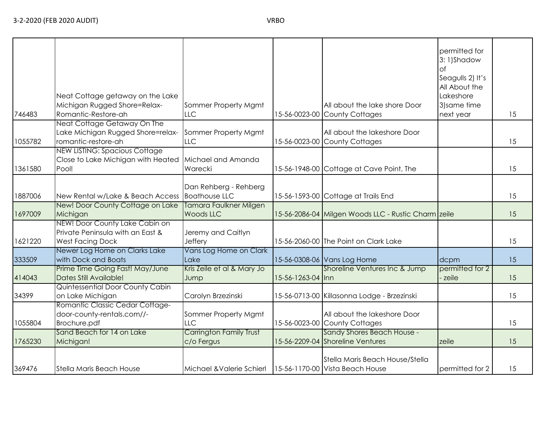|  |  | ۰. | M.<br>۰, |
|--|--|----|----------|
|--|--|----|----------|

| 746483  | Neat Cottage getaway on the Lake<br>Michigan Rugged Shore=Relax-<br>Romantic-Restore-ah       | Sommer Property Mgmt<br><b>LLC</b>            |                   | All about the lake shore Door<br>15-56-0023-00 County Cottages     | permitted for<br>3: 1)Shadow<br>$\circ$ f<br>Seagulls 2) It's<br>All About the<br>Lakeshore<br>3) same time<br>next year | 15 |
|---------|-----------------------------------------------------------------------------------------------|-----------------------------------------------|-------------------|--------------------------------------------------------------------|--------------------------------------------------------------------------------------------------------------------------|----|
| 1055782 | Neat Cottage Getaway On The<br>Lake Michigan Rugged Shore=relax-<br>romantic-restore-ah       | Sommer Property Mgmt<br><b>LLC</b>            |                   | All about the lakeshore Door<br>15-56-0023-00 County Cottages      |                                                                                                                          | 15 |
| 1361580 | <b>NEW LISTING: Spacious Cottage</b><br>Close to Lake Michigan with Heated<br>Pool!           | Michael and Amanda<br>Warecki                 |                   | 15-56-1948-00 Cottage at Cave Point, The                           |                                                                                                                          | 15 |
| 1887006 | New Rental w/Lake & Beach Access                                                              | Dan Rehberg - Rehberg<br><b>Boathouse LLC</b> |                   | 15-56-1593-00 Cottage at Trails End                                |                                                                                                                          | 15 |
| 1697009 | New! Door County Cottage on Lake<br>Michigan                                                  | Tamara Faulkner Milgen<br>Woods LLC           |                   | 15-56-2086-04 Milgen Woods LLC - Rustic Charm zeile                |                                                                                                                          | 15 |
| 1621220 | NEW! Door County Lake Cabin on<br>Private Peninsula with an East &<br><b>West Facing Dock</b> | Jeremy and Caitlyn<br>Jeffery                 |                   | 15-56-2060-00 The Point on Clark Lake                              |                                                                                                                          | 15 |
| 333509  | Newer Log Home on Clarks Lake<br>with Dock and Boats                                          | Vans Log Home on Clark<br>Lake                |                   | 15-56-0308-06 Vans Log Home                                        | dcpm                                                                                                                     | 15 |
| 414043  | Prime Time Going Fast! May/June<br>Dates Still Available!                                     | Kris Zeile et al & Mary Jo<br>Jump            | 15-56-1263-04 Inn | Shoreline Ventures Inc & Jump                                      | permitted for 2<br>zeile                                                                                                 | 15 |
| 34399   | Quintessential Door County Cabin<br>on Lake Michigan                                          | Carolyn Brzezinski                            |                   | 15-56-0713-00 Killasonna Lodge - Brzezinski                        |                                                                                                                          | 15 |
| 1055804 | Romantic Classic Cedar Cottage-<br>door-county-rentals.com//-<br>Brochure.pdf                 | Sommer Property Mgmt<br>LLC                   |                   | All about the lakeshore Door<br>15-56-0023-00 County Cottages      |                                                                                                                          | 15 |
| 1765230 | Sand Beach for 14 on Lake<br>Michigan!                                                        | Carrington Family Trust<br>c/o Fergus         |                   | Sandy Shores Beach House -<br>15-56-2209-04 Shoreline Ventures     | zeile                                                                                                                    | 15 |
| 369476  | <b>Stella Maris Beach House</b>                                                               | Michael & Valerie Schierl                     |                   | Stella Maris Beach House/Stella<br>15-56-1170-00 Vista Beach House | permitted for 2                                                                                                          | 15 |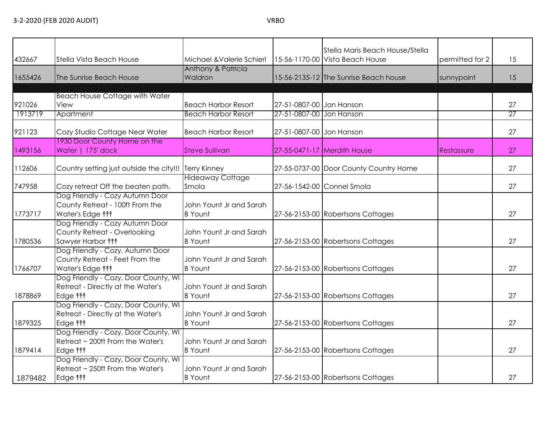|         |                                          |                                  |                          | Stella Maris Beach House/Stella        |                 |    |
|---------|------------------------------------------|----------------------------------|--------------------------|----------------------------------------|-----------------|----|
| 432667  | Stella Vista Beach House                 | Michael & Valerie Schierl        |                          | 15-56-1170-00 Vista Beach House        | permitted for 2 | 15 |
|         |                                          | Anthony & Patricia               |                          |                                        |                 |    |
| 1655426 | The Sunrise Beach House                  | Waldron                          |                          | 15-56-2135-12 The Sunrise Beach house  | sunnypoint      | 15 |
|         |                                          |                                  |                          |                                        |                 |    |
|         | <b>Beach House Cottage with Water</b>    |                                  |                          |                                        |                 |    |
| 921026  | View                                     | <b>Beach Harbor Resort</b>       | 27-51-0807-00 Jon Hanson |                                        |                 | 27 |
| 1913719 | Apartment                                | <b>Beach Harbor Resort</b>       | 27-51-0807-00 Jon Hanson |                                        |                 | 27 |
| 921123  | Cozy Studio Cottage Near Water           | <b>Beach Harbor Resort</b>       | 27-51-0807-00 Jon Hanson |                                        |                 | 27 |
|         | 1930 Door County Home on the             |                                  |                          |                                        |                 |    |
| 1493156 | Water   175' dock                        | <b>Steve Sullivan</b>            |                          | 27-55-0471-17 Merdith House            | Restassure      | 27 |
|         |                                          |                                  |                          |                                        |                 |    |
| 112606  | Country setting just outside the city!!! | <b>Terry Kinney</b>              |                          | 27-55-0737-00 Door County Country Home |                 | 27 |
| 747958  | Cozy retreat Off the beaten path.        | <b>Hideaway Cottage</b><br>Smola |                          | 27-56-1542-00 Connel Smola             |                 | 27 |
|         | Dog Friendly - Cozy Autumn Door          |                                  |                          |                                        |                 |    |
|         | County Retreat - 100ft From the          | John Yount Jr and Sarah          |                          |                                        |                 |    |
| 1773717 | Water's Edge <sup>11</sup>               | <b>B</b> Yount                   |                          | 27-56-2153-00 Robertsons Cottages      |                 | 27 |
|         | Dog Friendly - Cozy Autumn Door          |                                  |                          |                                        |                 |    |
|         | County Retreat - Overlooking             | John Yount Jr and Sarah          |                          |                                        |                 |    |
| 1780536 | Sawyer Harbor <sup>11</sup>              | <b>B</b> Yount                   |                          | 27-56-2153-00 Robertsons Cottages      |                 | 27 |
|         | Dog Friendly - Cozy, Autumn Door         |                                  |                          |                                        |                 |    |
|         | County Retreat - Feet From the           | John Yount Jr and Sarah          |                          |                                        |                 |    |
| 1766707 | Water's Edge <sup>11</sup>               | <b>B</b> Yount                   |                          | 27-56-2153-00 Robertsons Cottages      |                 | 27 |
|         | Dog Friendly - Cozy, Door County, WI     |                                  |                          |                                        |                 |    |
|         | Retreat - Directly at the Water's        | John Yount Jr and Sarah          |                          |                                        |                 |    |
| 1878869 | Edge <b>fff</b>                          | <b>B</b> Yount                   |                          | 27-56-2153-00 Robertsons Cottages      |                 | 27 |
|         | Dog Friendly - Cozy, Door County, WI     |                                  |                          |                                        |                 |    |
|         | Retreat - Directly at the Water's        | John Yount Jr and Sarah          |                          |                                        |                 |    |
| 1879325 | Edge <b>fff</b>                          | <b>B</b> Yount                   |                          | 27-56-2153-00 Robertsons Cottages      |                 | 27 |
|         | Dog Friendly - Cozy, Door County, WI     |                                  |                          |                                        |                 |    |
|         | Retreat ~ 200ft From the Water's         | John Yount Jr and Sarah          |                          |                                        |                 |    |
| 1879414 | Edge <b>fff</b>                          | <b>B</b> Yount                   |                          | 27-56-2153-00 Robertsons Cottages      |                 | 27 |
|         | Dog Friendly - Cozy, Door County, WI     |                                  |                          |                                        |                 |    |
|         | Retreat ~ 250ft From the Water's         | John Yount Jr and Sarah          |                          |                                        |                 |    |
| 1879482 | Edge <b>fff</b>                          | <b>B</b> Yount                   |                          | 27-56-2153-00 Robertsons Cottages      |                 | 27 |
|         |                                          |                                  |                          |                                        |                 |    |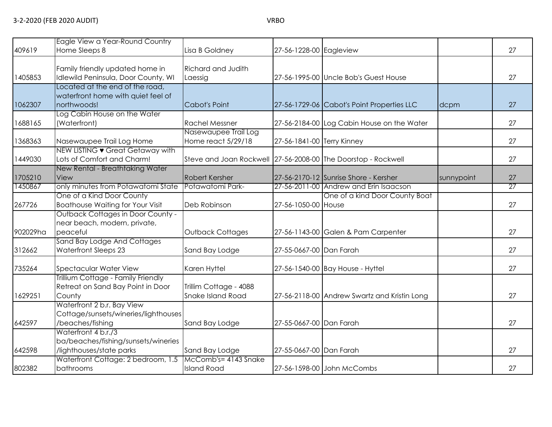| 409619   | Eagle View a Year-Round Country<br>Home Sleeps 8                                       | Lisa B Goldney                                                | 27-56-1228-00 Eagleview    |                                              |            | 27              |
|----------|----------------------------------------------------------------------------------------|---------------------------------------------------------------|----------------------------|----------------------------------------------|------------|-----------------|
| 1405853  | Family friendly updated home in<br>Idlewild Peninsula, Door County, WI                 | <b>Richard and Judith</b><br>Laessig                          |                            | 27-56-1995-00 Uncle Bob's Guest House        |            | 27              |
| 1062307  | Located at the end of the road,<br>waterfront home with quiet feel of<br>northwoods!   | Cabot's Point                                                 |                            | 27-56-1729-06 Cabot's Point Properties LLC   | dcpm       | 27              |
| 1688165  | Log Cabin House on the Water<br>(Waterfront)                                           | <b>Rachel Messner</b>                                         |                            | 27-56-2184-00 Log Cabin House on the Water   |            | 27              |
| 1368363  | Nasewaupee Trail Log Home                                                              | Nasewaupee Trail Log<br>Home react 5/29/18                    | 27-56-1841-00 Terry Kinney |                                              |            | 27              |
| 1449030  | NEW LISTING • Great Getaway with<br>Lots of Comfort and Charm!                         | Steve and Joan Rockwell 27-56-2008-00 The Doorstop - Rockwell |                            |                                              |            | 27              |
| 1705210  | New Rental - Breathtaking Water<br>View                                                | <b>Robert Kersher</b>                                         |                            | 27-56-2170-12 Sunrise Shore - Kersher        | sunnypoint | 27              |
| 1450867  | only minutes from Potawatomi State                                                     | Potawatomi Park-                                              |                            | 27-56-2011-00 Andrew and Erin Isaacson       |            | $\overline{27}$ |
| 267726   | One of a Kind Door County<br><b>Boathouse Waiting for Your Visit</b>                   | Deb Robinson                                                  | 27-56-1050-00 House        | One of a kind Door County Boat               |            | 27              |
| 902029ha | <b>Outback Cottages in Door County -</b><br>near beach, modern, private,<br>peaceful   | Outback Cottages                                              |                            | 27-56-1143-00 Galen & Pam Carpenter          |            | 27              |
| 312662   | Sand Bay Lodge And Cottages<br>Waterfront Sleeps 23                                    | Sand Bay Lodge                                                | 27-55-0667-00 Dan Farah    |                                              |            | 27              |
| 735264   | Spectacular Water View                                                                 | Karen Hyttel                                                  |                            | 27-56-1540-00 Bay House - Hyttel             |            | 27              |
| 1629251  | Trillium Cottage - Family Friendly<br>Retreat on Sand Bay Point in Door<br>County      | Trillim Cottage - 4088<br><b>Snake Island Road</b>            |                            | 27-56-2118-00 Andrew Swartz and Kristin Long |            | 27              |
| 642597   | Waterfront 2 b.r. Bay View<br>Cottage/sunsets/wineries/lighthouses<br>/beaches/fishing | Sand Bay Lodge                                                | 27-55-0667-00 Dan Farah    |                                              |            | 27              |
| 642598   | Waterfront 4 b.r./3<br>ba/beaches/fishing/sunsets/wineries<br>/lighthouses/state parks | Sand Bay Lodge                                                | 27-55-0667-00 Dan Farah    |                                              |            | 27              |
| 802382   | Waterfront Cottage: 2 bedroom, 1.5<br>bathrooms                                        | McComb's= 4143 Snake<br><b>Island Road</b>                    |                            | 27-56-1598-00 John McCombs                   |            | 27              |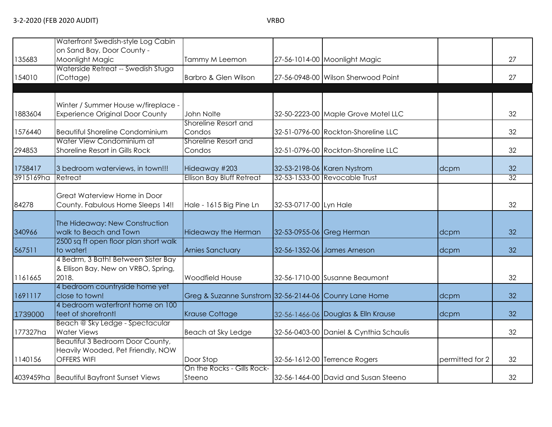| 135683    | Waterfront Swedish-style Log Cabin<br>on Sand Bay, Door County -<br>Moonlight Magic         | Tammy M Leemon                                         |                        | 27-56-1014-00 Moonlight Magic           |                 | 27              |
|-----------|---------------------------------------------------------------------------------------------|--------------------------------------------------------|------------------------|-----------------------------------------|-----------------|-----------------|
| 154010    | Waterside Retreat -- Swedish Stuga<br>(Cottage)                                             | Barbro & Glen Wilson                                   |                        | 27-56-0948-00 Wilson Sherwood Point     |                 | 27              |
|           |                                                                                             |                                                        |                        |                                         |                 |                 |
| 1883604   | Winter / Summer House w/fireplace -<br><b>Experience Original Door County</b>               | John Nolte                                             |                        | 32-50-2223-00 Maple Grove Motel LLC     |                 | 32              |
| 1576440   | <b>Beautiful Shoreline Condominium</b>                                                      | Shoreline Resort and<br>Condos                         |                        | 32-51-0796-00 Rockton-Shoreline LLC     |                 | 32              |
| 294853    | Water View Condominium at<br>Shoreline Resort in Gills Rock                                 | Shoreline Resort and<br>Condos                         |                        | 32-51-0796-00 Rockton-Shoreline LLC     |                 | 32              |
| 1758417   | 3 bedroom waterviews, in town!!!                                                            | Hideaway #203                                          |                        | 32-53-2198-06 Karen Nystrom             | dcpm            | 32              |
| 3915169ha | Retreat                                                                                     | <b>Ellison Bay Bluff Retreat</b>                       |                        | 32-53-1533-00 Revocable Trust           |                 | $\overline{32}$ |
| 84278     | Great Waterview Home in Door<br>County. Fabulous Home Sleeps 14!!                           | Hale - 1615 Big Pine Ln                                | 32-53-0717-00 Lyn Hale |                                         |                 | 32              |
| 340966    | The Hideaway: New Construction<br>walk to Beach and Town                                    | <b>Hideaway the Herman</b>                             |                        | 32-53-0955-06 Greg Herman               | dcpm            | 32              |
| 567511    | 2500 sq ft open floor plan short walk<br>to water!                                          | <b>Arnies Sanctuary</b>                                |                        | 32-56-1352-06 James Arneson             | dcpm            | 32              |
| 1161665   | 4 Bedrm, 3 Bath! Between Sister Bay<br>& Ellison Bay. New on VRBO, Spring,<br>2018.         | Woodfield House                                        |                        | 32-56-1710-00 Susanne Beaumont          |                 | 32              |
| 1691117   | 4 bedroom countryside home yet<br>close to town!                                            | Greg & Suzanne Sunstrom 32-56-2144-06 Counry Lane Home |                        |                                         | dcpm            | 32              |
| 1739000   | 4 bedroom waterfront home on 100<br>feet of shorefront!                                     | <b>Krause Cottage</b>                                  |                        | 32-56-1466-06 Douglas & Elln Krause     | dcpm            | 32              |
| 177327ha  | Beach @ Sky Ledge - Spectacular<br><b>Water Views</b>                                       | Beach at Sky Ledge                                     |                        | 32-56-0403-00 Daniel & Cynthia Schaulis |                 | 32              |
| 1140156   | <b>Beautiful 3 Bedroom Door County,</b><br>Heavily Wooded, Pet Friendly, NOW<br>OFFERS WIFI | Door Stop                                              |                        | 32-56-1612-00 Terrence Rogers           | permitted for 2 | 32              |
|           | 4039459ha Beautiful Bayfront Sunset Views                                                   | On the Rocks - Gills Rock-<br>Steeno                   |                        | 32-56-1464-00 David and Susan Steeno    |                 | 32              |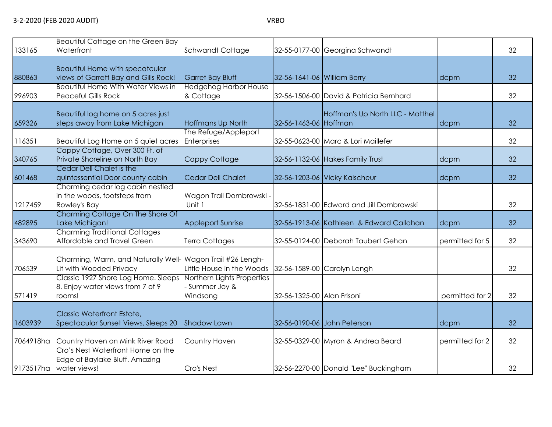| 133165    | Beautiful Cottage on the Green Bay<br>Waterfront                                      | Schwandt Cottage                                       |                             | 32-55-0177-00 Georgina Schwandt          |                 | 32 |
|-----------|---------------------------------------------------------------------------------------|--------------------------------------------------------|-----------------------------|------------------------------------------|-----------------|----|
| 880863    | Beautiful Home with specatcular<br>views of Garrett Bay and Gills Rock!               | <b>Garret Bay Bluff</b>                                | 32-56-1641-06 William Berry |                                          | dcpm            | 32 |
| 996903    | <b>Beautiful Home With Water Views in</b><br><b>Peaceful Gills Rock</b>               | <b>Hedgehog Harbor House</b><br>& Cottage              |                             | 32-56-1506-00 David & Patricia Bernhard  |                 | 32 |
| 659326    | Beautiful log home on 5 acres just<br>steps away from Lake Michigan                   | Hoffmans Up North                                      | 32-56-1463-06 Hoffman       | Hoffman's Up North LLC - Matthel         | dcpm            | 32 |
| 116351    | Beautiful Log Home on 5 quiet acres                                                   | The Refuge/Appleport<br>Enterprises                    |                             | 32-55-0623-00 Marc & Lori Maillefer      |                 | 32 |
| 340765    | Cappy Cottage, Over 300 Ft. of<br>Private Shoreline on North Bay                      | Cappy Cottage                                          |                             | 32-56-1132-06 Hakes Family Trust         | dcpm            | 32 |
| 601468    | Cedar Dell Chalet is the<br>quintessential Door county cabin                          | <b>Cedar Dell Chalet</b>                               |                             | 32-56-1203-06 Vicky Kalscheur            | dcpm            | 32 |
| 1217459   | Charming cedar log cabin nestled<br>in the woods, footsteps from<br>Rowley's Bay      | Wagon Trail Dombrowski -<br>Unit 1                     |                             | 32-56-1831-00 Edward and Jill Dombrowski |                 | 32 |
| 482895    | Charming Cottage On The Shore Of<br>Lake Michigan!                                    | <b>Appleport Sunrise</b>                               |                             | 32-56-1913-06 Kathleen & Edward Callahan | dcpm            | 32 |
| 343690    | <b>Charming Traditional Cottages</b><br>Affordable and Travel Green                   | Terra Cottages                                         |                             | 32-55-0124-00 Deborah Taubert Gehan      | permitted for 5 | 32 |
| 706539    | Charming, Warm, and Naturally Well- Wagon Trail #26 Lengh-<br>Lit with Wooded Privacy | Little House in the Woods                              |                             | 32-56-1589-00 Carolyn Lengh              |                 | 32 |
| 571419    | Classic 1927 Shore Log Home. Sleeps<br>8. Enjoy water views from 7 of 9<br>rooms!     | Northern Lights Properties<br>Summer Joy &<br>Windsong | 32-56-1325-00 Alan Frisoni  |                                          | permitted for 2 | 32 |
| 1603939   | Classic Waterfront Estate,<br>Spectacular Sunset Views, Sleeps 20                     | <b>Shadow Lawn</b>                                     |                             | 32-56-0190-06 John Peterson              | dcpm            | 32 |
| 7064918ha | Country Haven on Mink River Road                                                      | Country Haven                                          |                             | 32-55-0329-00 Myron & Andrea Beard       | permitted for 2 | 32 |
| 9173517ha | Cro's Nest Waterfront Home on the<br>Edge of Baylake Bluff. Amazing<br>water views!   | Cro's Nest                                             |                             | 32-56-2270-00 Donald "Lee" Buckingham    |                 | 32 |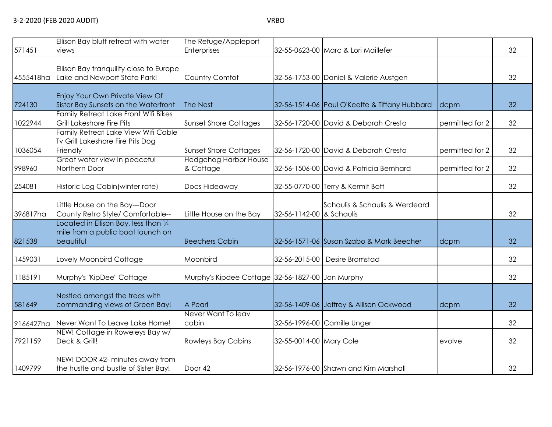| 571451    | Ellison Bay bluff retreat with water<br>views                                                     | The Refuge/Appleport<br><b>Enterprises</b>       |                          | 32-55-0623-00 Marc & Lori Maillefer           |                 | 32 |
|-----------|---------------------------------------------------------------------------------------------------|--------------------------------------------------|--------------------------|-----------------------------------------------|-----------------|----|
| 4555418ha | Ellison Bay tranquility close to Europe<br>Lake and Newport State Park!                           | Country Comfot                                   |                          | 32-56-1753-00 Daniel & Valerie Austgen        |                 | 32 |
| 724130    | Enjoy Your Own Private View Of<br>Sister Bay Sunsets on the Waterfront                            | The Nest                                         |                          | 32-56-1514-06 Paul O'Keeffe & Tiffany Hubbard | dcpm            | 32 |
| 1022944   | Family Retreat Lake Front Wifi Bikes<br><b>Grill Lakeshore Fire Pits</b>                          | <b>Sunset Shore Cottages</b>                     |                          | 32-56-1720-00 David & Deborah Cresto          | permitted for 2 | 32 |
| 1036054   | Family Retreat Lake View Wifi Cable<br>Tv Grill Lakeshore Fire Pits Dog<br>Friendly               | <b>Sunset Shore Cottages</b>                     |                          | 32-56-1720-00 David & Deborah Cresto          | permitted for 2 | 32 |
| 998960    | Great water view in peaceful<br>Northern Door                                                     | <b>Hedgehog Harbor House</b><br>& Cottage        |                          | 32-56-1506-00 David & Patricia Bernhard       | permitted for 2 | 32 |
| 254081    | Historic Log Cabin (winter rate)                                                                  | Docs Hideaway                                    |                          | 32-55-0770-00 Terry & Kermit Bott             |                 | 32 |
| 396817ha  | Little House on the Bay---Door<br>County Retro Style/ Comfortable--                               | Little House on the Bay                          | 32-56-1142-00 & Schaulis | Schaulis & Schaulis & Werdeard                |                 | 32 |
| 821538    | Located in Ellison Bay, less than $\frac{1}{4}$<br>mile from a public boat launch on<br>beautiful | <b>Beechers Cabin</b>                            |                          | 32-56-1571-06 Susan Szabo & Mark Beecher      | dcpm            | 32 |
| 1459031   | Lovely Moonbird Cottage                                                                           | Moonbird                                         |                          | 32-56-2015-00 Desire Bromstad                 |                 | 32 |
| 1185191   | Murphy's "KipDee" Cottage                                                                         | Murphy's Kipdee Cottage 32-56-1827-00 Jon Murphy |                          |                                               |                 | 32 |
| 581649    | Nestled amongst the trees with<br>commanding views of Green Bay!                                  | A Pearl                                          |                          | 32-56-1409-06 Jeffrey & Allison Ockwood       | dcpm            | 32 |
| 9166427ha | Never Want To Leave Lake Home!                                                                    | Never Want To leav<br>cabin                      |                          | 32-56-1996-00 Camille Unger                   |                 | 32 |
| 7921159   | NEW! Cottage in Roweleys Bay w/<br>Deck & Grill!                                                  | <b>Rowleys Bay Cabins</b>                        | 32-55-0014-00 Mary Cole  |                                               | evolve          | 32 |
| 1409799   | NEW! DOOR 42- minutes away from<br>the hustle and bustle of Sister Bay!                           | Door 42                                          |                          | 32-56-1976-00 Shawn and Kim Marshall          |                 | 32 |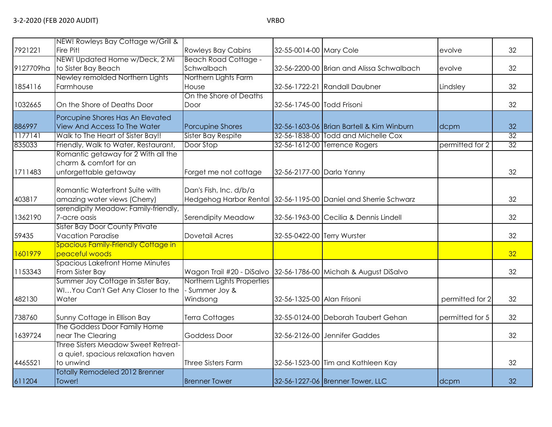| 7921221   | NEW! Rowleys Bay Cottage w/Grill &<br>Fire Pit!                                        | <b>Rowleys Bay Cabins</b>                              | 32-55-0014-00 Mary Cole     |                                                                 | evolve          | 32              |
|-----------|----------------------------------------------------------------------------------------|--------------------------------------------------------|-----------------------------|-----------------------------------------------------------------|-----------------|-----------------|
|           | NEW! Updated Home w/Deck, 2 Mi                                                         | <b>Beach Road Cottage -</b>                            |                             |                                                                 |                 |                 |
| 9127709ha | to Sister Bay Beach                                                                    | Schwalbach                                             |                             | 32-56-2200-00 Brian and Alissa Schwalbach                       | evolve          | 32              |
| 1854116   | Newley remolded Northern Lights<br>Farmhouse                                           | Northern Lights Farm<br>House                          |                             | 32-56-1722-21 Randall Daubner                                   | Lindsley        | 32              |
| 1032665   | On the Shore of Deaths Door                                                            | On the Shore of Deaths<br>Door                         | 32-56-1745-00 Todd Frisoni  |                                                                 |                 | 32              |
|           | Porcupine Shores Has An Elevated                                                       |                                                        |                             |                                                                 |                 |                 |
| 886997    | View And Access To The Water                                                           | Porcupine Shores                                       |                             | 32-56-1603-06 Brian Bartell & Kim Winburn                       | dcpm            | 32              |
| 1177141   | Walk to The Heart of Sister Bay!!                                                      | <b>Sister Bay Respite</b>                              |                             | 32-56-1838-00 Todd and Michelle Cox                             |                 | 32              |
| 835033    | Friendly, Walk to Water, Restaurant,                                                   | Door Stop                                              |                             | 32-56-1612-00 Terrence Rogers                                   | permitted for 2 | $\overline{32}$ |
| 1711483   | Romantic getaway for 2 With all the<br>charm & comfort for an<br>unforgettable getaway | Forget me not cottage                                  | 32-56-2177-00 Darla Yanny   |                                                                 |                 | 32              |
| 403817    | Romantic Waterfront Suite with<br>amazing water views (Cherry)                         | Dan's Fish, Inc. d/b/a                                 |                             | Hedgehog Harbor Rental 32-56-1195-00 Daniel and Sherrie Schwarz |                 | 32              |
| 1362190   | serendipity Meadow: Family-friendly,<br>7-acre oasis                                   | Serendipity Meadow                                     |                             | 32-56-1963-00 Cecilia & Dennis Lindell                          |                 | 32              |
| 59435     | <b>Sister Bay Door County Private</b><br><b>Vacation Paradise</b>                      | <b>Dovetail Acres</b>                                  | 32-55-0422-00 Terry Wurster |                                                                 |                 | 32              |
| 1601979   | Spacious Family-Friendly Cottage in<br>peaceful woods                                  |                                                        |                             |                                                                 |                 | 32              |
| 1153343   | <b>Spacious Lakefront Home Minutes</b><br>From Sister Bay                              |                                                        |                             | Wagon Trail #20 - DiSalvo 32-56-1786-00 Michah & August DiSalvo |                 | 32              |
| 482130    | Summer Joy Cottage in Sister Bay,<br>WIYou Can't Get Any Closer to the<br>Water        | Northern Lights Properties<br>Summer Joy &<br>Windsong | 32-56-1325-00 Alan Frisoni  |                                                                 | permitted for 2 | 32              |
| 738760    | Sunny Cottage in Ellison Bay                                                           | Terra Cottages                                         |                             | 32-55-0124-00 Deborah Taubert Gehan                             | permitted for 5 | 32              |
| 1639724   | The Goddess Door Family Home<br>near The Clearing                                      | <b>Goddess Door</b>                                    |                             | 32-56-2126-00 Jennifer Gaddes                                   |                 | 32              |
| 4465521   | Three Sisters Meadow Sweet Retreat-<br>a quiet, spacious relaxation haven<br>to unwind | <b>Three Sisters Farm</b>                              |                             | 32-56-1523-00 Tim and Kathleen Kay                              |                 | 32              |
| 611204    | <b>Totally Remodeled 2012 Brenner</b><br>Tower!                                        | <b>Brenner Tower</b>                                   |                             | 32-56-1227-06 Brenner Tower, LLC                                | dcpm            | 32              |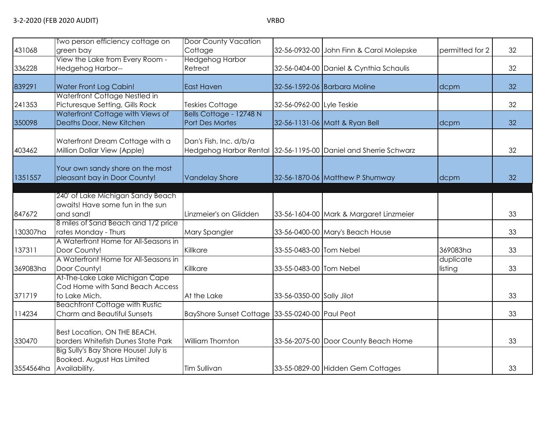|           | Two person efficiency cottage on                                                    | <b>Door County Vacation</b>                     |                           |                                                                 |                      |    |
|-----------|-------------------------------------------------------------------------------------|-------------------------------------------------|---------------------------|-----------------------------------------------------------------|----------------------|----|
| 431068    | green bay                                                                           | Cottage                                         |                           | 32-56-0932-00 John Finn & Carol Molepske                        | permitted for 2      | 32 |
|           | View the Lake from Every Room -                                                     | <b>Hedgehog Harbor</b>                          |                           |                                                                 |                      |    |
| 336228    | Hedgehog Harbor--                                                                   | Retreat                                         |                           | 32-56-0404-00 Daniel & Cynthia Schaulis                         |                      | 32 |
| 839291    | Water Front Log Cabin!                                                              | <b>East Haven</b>                               |                           | 32-56-1592-06 Barbara Moline                                    | dcpm                 | 32 |
| 241353    | Waterfront Cottage Nestled in<br>Picturesque Setting, Gills Rock                    | Teskies Cottage                                 | 32-56-0962-00 Lyle Teskie |                                                                 |                      | 32 |
| 350098    | Waterfront Cottage with Views of<br>Deaths Door, New Kitchen                        | Bells Cottage - 12748 N<br>Port Des Mortes      |                           | 32-56-1131-06 Matt & Ryan Bell                                  | dcpm                 | 32 |
| 403462    | Waterfront Dream Cottage with a<br>Million Dollar View (Apple)                      | Dan's Fish, Inc. d/b/a                          |                           | Hedgehog Harbor Rental 32-56-1195-00 Daniel and Sherrie Schwarz |                      | 32 |
| 1351557   | Your own sandy shore on the most<br>pleasant bay in Door County!                    | <b>Vandelay Shore</b>                           |                           | 32-56-1870-06 Matthew P Shumway                                 | dcpm                 | 32 |
|           |                                                                                     |                                                 |                           |                                                                 |                      |    |
|           | 240' of Lake Michigan Sandy Beach                                                   |                                                 |                           |                                                                 |                      |    |
| 847672    | awaits! Have some fun in the sun<br>and sand!                                       | Linzmeier's on Glidden                          |                           |                                                                 |                      | 33 |
|           | 8 miles of Sand Beach and 1/2 price                                                 |                                                 |                           | 33-56-1604-00 Mark & Margaret Linzmeier                         |                      |    |
| 130307ha  | rates Monday - Thurs                                                                | Mary Spangler                                   |                           | 33-56-0400-00 Mary's Beach House                                |                      | 33 |
|           | A Waterfront Home for All-Seasons in                                                |                                                 |                           |                                                                 |                      |    |
| 137311    | Door County!                                                                        | Killkare                                        | 33-55-0483-00 Tom Nebel   |                                                                 | 369083ha             | 33 |
| 369083ha  | A Waterfront Home for All-Seasons in<br>Door County!                                | Killkare                                        | 33-55-0483-00 Tom Nebel   |                                                                 | duplicate<br>listing | 33 |
| 371719    | At-The-Lake Lake Michigan Cape<br>Cod Home with Sand Beach Access<br>to Lake Mich.  | At the Lake                                     | 33-56-0350-00 Sally Jilot |                                                                 |                      | 33 |
| 114234    | <b>Beachfront Cottage with Rustic</b><br>Charm and Beautiful Sunsets                | BayShore Sunset Cottage 33-55-0240-00 Paul Peot |                           |                                                                 |                      | 33 |
| 330470    | Best Location, ON THE BEACH.<br>borders Whitefish Dunes State Park                  | William Thornton                                |                           | 33-56-2075-00 Door County Beach Home                            |                      | 33 |
| 3554564ha | Big Sully's Bay Shore House! July is<br>Booked. August Has Limited<br>Availability. | <b>Tim Sullivan</b>                             |                           | 33-55-0829-00 Hidden Gem Cottages                               |                      | 33 |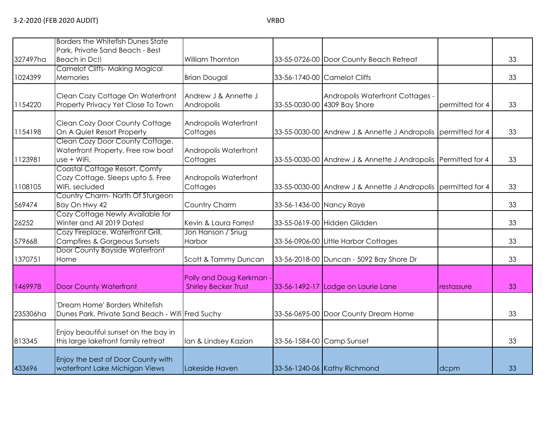813345

433696

Enjoy beautiful sunset on the bay in

Enjoy the best of Door County with

|          | Borders the Whitefish Dunes State                              |                                   |                          |                                                               |                 |    |
|----------|----------------------------------------------------------------|-----------------------------------|--------------------------|---------------------------------------------------------------|-----------------|----|
| 327497ha | Park, Private Sand Beach - Best<br>Beach in Dc!!               | William Thornton                  |                          | 33-55-0726-00 Door County Beach Retreat                       |                 | 33 |
|          | Camelot Cliffs- Making Magical                                 |                                   |                          |                                                               |                 |    |
| 1024399  | <b>Memories</b>                                                | <b>Brian Dougal</b>               |                          | 33-56-1740-00 Camelot Cliffs                                  |                 | 33 |
|          | Clean Cozy Cottage On Waterfront                               | Andrew J & Annette J              |                          | Andropolis Waterfront Cottages -                              |                 |    |
| 1154220  | Property Privacy Yet Close To Town                             | Andropolis                        |                          | 33-55-0030-00 4309 Bay Shore                                  | permitted for 4 | 33 |
|          | Clean Cozy Door County Cottage                                 | Andropolis Waterfront             |                          |                                                               |                 |    |
| 1154198  | On A Quiet Resort Property                                     | Cottages                          |                          | 33-55-0030-00 Andrew J & Annette J Andropolis permitted for 4 |                 | 33 |
|          | Clean Cozy Door County Cottage.                                |                                   |                          |                                                               |                 |    |
| 1123981  | Waterfront Property, Free row boat<br>use + WiFi.              | Andropolis Waterfront<br>Cottages |                          | 33-55-0030-00 Andrew J & Annette J Andropolis Permitted for 4 |                 | 33 |
|          | Coastal Cottage Resort. Comfy                                  |                                   |                          |                                                               |                 |    |
| 1108105  | Cozy Cottage. Sleeps upto 5, Free<br>WiFi, secluded            | Andropolis Waterfront<br>Cottages |                          | 33-55-0030-00 Andrew J & Annette J Andropolis permitted for 4 |                 | 33 |
|          | Country Charm-North Of Sturgeon                                |                                   |                          |                                                               |                 |    |
| 569474   | Bay On Hwy 42                                                  | Country Charm                     | 33-56-1436-00 Nancy Raye |                                                               |                 | 33 |
| 26252    | Cozy Cottage Newly Available for<br>Winter and All 2019 Dates! | Kevin & Laura Forrest             |                          | 33-55-0619-00 Hidden Glidden                                  |                 | 33 |
|          | Cozy Fireplace, Waterfront Grill,                              | Jon Hanson / Snug                 |                          |                                                               |                 |    |
| 579668   | Campfires & Gorgeous Sunsets                                   | Harbor                            |                          | 33-56-0906-00 Little Harbor Cottages                          |                 | 33 |
| 1370751  | Door County Bayside Waterfront<br>Home                         | Scott & Tammy Duncan              |                          | 33-56-2018-00 Duncan - 5092 Bay Shore Dr                      |                 | 33 |
|          |                                                                | Polly and Doug Kerkman            |                          |                                                               |                 |    |
| 1469978  | <b>Door County Waterfront</b>                                  | <b>Shirley Becker Trust</b>       |                          | 33-56-1492-17 Lodge on Laurie Lane                            | restassure      | 33 |
|          | 'Dream Home' Borders Whitefish                                 |                                   |                          |                                                               |                 |    |
| 235306ha | Dunes Park, Private Sand Beach - Wifi Fred Suchy               |                                   |                          | 33-56-0695-00 Door County Dream Home                          |                 | 33 |

this large lakefront family retreat Ian & Lindsey Kazian 33-56-1584-00 Camp Sunset 1996 and 1998 and 33

waterfront Lake Michigan Views Lakeside Haven 33-56-1240-06 Kathy Richmond dcpm dcpm 33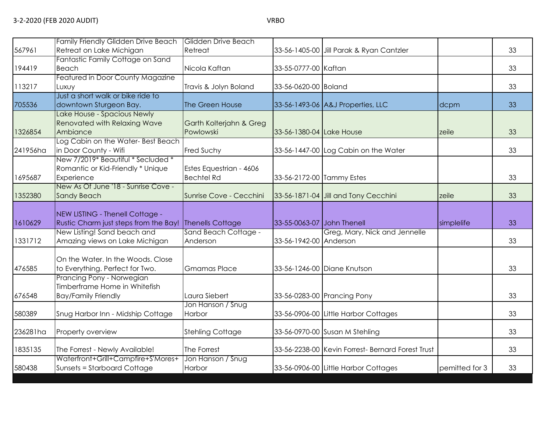|          | Family Friendly Glidden Drive Beach                         | <b>Glidden Drive Beach</b>           |                            |                                                   |                |    |
|----------|-------------------------------------------------------------|--------------------------------------|----------------------------|---------------------------------------------------|----------------|----|
| 567961   | Retreat on Lake Michigan                                    | Retreat                              |                            | 33-56-1405-00 Jill Parak & Ryan Cantzler          |                | 33 |
|          | Fantastic Family Cottage on Sand                            |                                      |                            |                                                   |                |    |
| 194419   | Beach                                                       | Nicola Kaftan                        | 33-55-0777-00 Kaftan       |                                                   |                | 33 |
|          | Featured in Door County Magazine                            |                                      |                            |                                                   |                |    |
| 113217   | Luxuy                                                       | Travis & Jolyn Boland                | 33-56-0620-00 Boland       |                                                   |                | 33 |
|          | Just a short walk or bike ride to                           |                                      |                            |                                                   |                |    |
| 705536   | downtown Sturgeon Bay.                                      | The Green House                      |                            | 33-56-1493-06 A&J Properties, LLC                 | dcpm           | 33 |
|          | Lake House - Spacious Newly<br>Renovated with Relaxing Wave |                                      |                            |                                                   |                |    |
| 1326854  | Ambiance                                                    | Garth Kolterjahn & Greg<br>Powlowski |                            |                                                   |                | 33 |
|          | Log Cabin on the Water-Best Beach                           |                                      | 33-56-1380-04 Lake House   |                                                   | zeile          |    |
| 241956ha | in Door County - Wifi                                       | Fred Suchy                           |                            | 33-56-1447-00 Log Cabin on the Water              |                | 33 |
|          | New 7/2019* Beautiful * Secluded *                          |                                      |                            |                                                   |                |    |
|          | Romantic or Kid-Friendly * Unique                           | Estes Equestrian - 4606              |                            |                                                   |                |    |
| 1695687  | Experience                                                  | <b>Bechtel Rd</b>                    | 33-56-2172-00 Tammy Estes  |                                                   |                | 33 |
|          | New As Of June '18 - Sunrise Cove -                         |                                      |                            |                                                   |                |    |
| 1352380  | <b>Sandy Beach</b>                                          | Sunrise Cove - Cecchini              |                            | 33-56-1871-04 Jill and Tony Cecchini              | zeile          | 33 |
|          |                                                             |                                      |                            |                                                   |                |    |
|          | NEW LISTING - Thenell Cottage -                             |                                      |                            |                                                   |                |    |
| 1610629  | Rustic Charm just steps from the Bay!                       | Thenells Cottage                     | 33-55-0063-07 John Thenell |                                                   | simplelife     | 33 |
|          | New Listing! Sand beach and                                 | Sand Beach Cottage -                 |                            | Greg, Mary, Nick and Jennelle                     |                |    |
| 1331712  | Amazing views on Lake Michigan                              | Anderson                             | 33-56-1942-00 Anderson     |                                                   |                | 33 |
|          |                                                             |                                      |                            |                                                   |                |    |
|          | On the Water, In the Woods, Close                           |                                      |                            |                                                   |                |    |
| 476585   | to Everything. Perfect for Two.                             | <b>Gmamas Place</b>                  |                            | 33-56-1246-00 Diane Knutson                       |                | 33 |
|          | Prancing Pony - Norwegian                                   |                                      |                            |                                                   |                |    |
|          | Timberframe Home in Whitefish                               |                                      |                            |                                                   |                |    |
| 676548   | <b>Bay/Family Friendly</b>                                  | Laura Siebert                        |                            | 33-56-0283-00 Prancing Pony                       |                | 33 |
|          |                                                             | Jon Hanson / Snug                    |                            |                                                   |                |    |
| 580389   | Snug Harbor Inn - Midship Cottage                           | Harbor                               |                            | 33-56-0906-00 Little Harbor Cottages              |                | 33 |
|          |                                                             |                                      |                            |                                                   |                |    |
| 236281ha | Property overview                                           | <b>Stehling Cottage</b>              |                            | 33-56-0970-00 Susan M Stehling                    |                | 33 |
| 1835135  | The Forrest - Newly Available!                              | The Forrest                          |                            | 33-56-2238-00 Kevin Forrest- Bernard Forest Trust |                | 33 |
|          | Waterfront+Grill+Campfire+S'Mores+                          | Jon Hanson / Snug                    |                            |                                                   |                |    |
| 580438   | Sunsets = Starboard Cottage                                 | Harbor                               |                            | 33-56-0906-00 Little Harbor Cottages              | pemitted for 3 | 33 |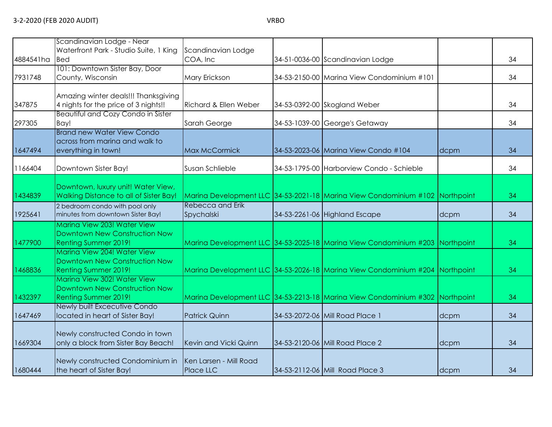|           | Scandinavian Lodge - Near              |                        |                                                                              |      |    |
|-----------|----------------------------------------|------------------------|------------------------------------------------------------------------------|------|----|
|           | Waterfront Park - Studio Suite, 1 King | Scandinavian Lodge     |                                                                              |      |    |
| 4884541ha | <b>Bed</b>                             | COA, Inc               | 34-51-0036-00 Scandinavian Lodge                                             |      | 34 |
|           | 101: Downtown Sister Bay, Door         |                        |                                                                              |      |    |
| 7931748   | County, Wisconsin                      | Mary Erickson          | 34-53-2150-00 Marina View Condominium #101                                   |      | 34 |
|           |                                        |                        |                                                                              |      |    |
|           | Amazing winter deals!!! Thanksgiving   |                        |                                                                              |      |    |
| 347875    | 4 nights for the price of 3 nights!!   | Richard & Ellen Weber  | 34-53-0392-00 Skogland Weber                                                 |      | 34 |
|           | Beautiful and Cozy Condo in Sister     |                        |                                                                              |      |    |
| 297305    | Bay!                                   | Sarah George           | 34-53-1039-00 George's Getaway                                               |      | 34 |
|           | <b>Brand new Water View Condo</b>      |                        |                                                                              |      |    |
|           | across from marina and walk to         |                        |                                                                              |      |    |
| 1647494   | everything in town!                    | Max McCormick          | 34-53-2023-06 Marina View Condo #104                                         | dcpm | 34 |
|           |                                        |                        |                                                                              |      |    |
| 1166404   | Downtown Sister Bay!                   | Susan Schlieble        | 34-53-1795-00 Harborview Condo - Schieble                                    |      | 34 |
|           |                                        |                        |                                                                              |      |    |
|           | Downtown, luxury unit! Water View,     |                        |                                                                              |      |    |
| 1434839   | Walking Distance to all of Sister Bay! |                        | Marina Development LLC 34-53-2021-18 Marina View Condominium #102 Northpoint |      | 34 |
|           | 2 bedroom condo with pool only         | Rebecca and Erik       |                                                                              |      |    |
| 1925641   | minutes from downtown Sister Bay!      | Spychalski             | 34-53-2261-06 Highland Escape                                                | dcpm | 34 |
|           | Marina View 203! Water View            |                        |                                                                              |      |    |
|           | Downtown New Construction Now          |                        |                                                                              |      |    |
|           |                                        |                        |                                                                              |      |    |
| 1477900   | <b>Renting Summer 2019!</b>            |                        | Marina Development LLC 34-53-2025-18 Marina View Condominium #203 Northpoint |      | 34 |
|           | Marina View 204! Water View            |                        |                                                                              |      |    |
|           | Downtown New Construction Now          |                        |                                                                              |      |    |
| 1468836   | Renting Summer 2019!                   |                        | Marina Development LLC 34-53-2026-18 Marina View Condominium #204 Northpoint |      | 34 |
|           | Marina View 302! Water View            |                        |                                                                              |      |    |
|           | Downtown New Construction Now          |                        |                                                                              |      |    |
| 1432397   | <b>Renting Summer 2019!</b>            |                        | Marina Development LLC 34-53-2213-18 Marina View Condominium #302 Northpoint |      | 34 |
|           | Newly built Excecutive Condo           |                        |                                                                              |      |    |
| 1647469   | located in heart of Sister Bay!        | <b>Patrick Quinn</b>   | 34-53-2072-06 Mill Road Place 1                                              | dcpm | 34 |
|           |                                        |                        |                                                                              |      |    |
|           | Newly constructed Condo in town        |                        |                                                                              |      |    |
| 1669304   | only a block from Sister Bay Beach!    | Kevin and Vicki Quinn  | 34-53-2120-06 Mill Road Place 2                                              | dcpm | 34 |
|           |                                        |                        |                                                                              |      |    |
|           | Newly constructed Condominium in       | Ken Larsen - Mill Road |                                                                              |      |    |
| 1680444   | the heart of Sister Bay!               | Place LLC              | 34-53-2112-06 Mill Road Place 3                                              | dcpm | 34 |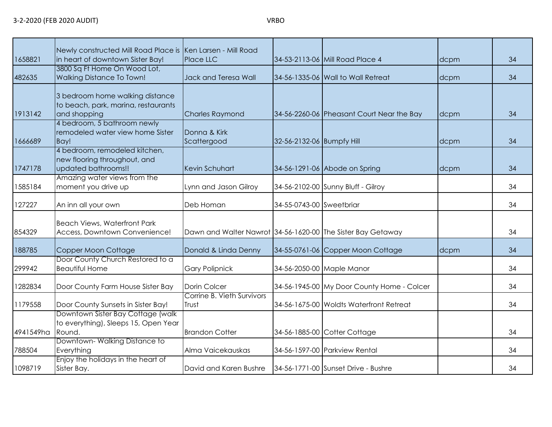| 1658821   | Newly constructed Mill Road Place is Ken Larsen - Mill Road<br>in heart of downtown Sister Bay! | Place LLC                                                   |                           | 34-53-2113-06 Mill Road Place 4            | dcpm | 34 |
|-----------|-------------------------------------------------------------------------------------------------|-------------------------------------------------------------|---------------------------|--------------------------------------------|------|----|
| 482635    | 3800 Sq Ft Home On Wood Lot,<br><b>Walking Distance To Town!</b>                                | Jack and Teresa Wall                                        |                           | 34-56-1335-06 Wall to Wall Retreat         | dcpm | 34 |
| 1913142   | 3 bedroom home walking distance<br>to beach, park, marina, restaurants<br>and shopping          | <b>Charles Raymond</b>                                      |                           | 34-56-2260-06 Pheasant Court Near the Bay  | dcpm | 34 |
| 1666689   | 4 bedroom, 5 bathroom newly<br>remodeled water view home Sister<br>Bay!                         | Donna & Kirk<br>Scattergood                                 | 32-56-2132-06 Bumpfy Hill |                                            | dcpm | 34 |
| 1747178   | 4 bedroom, remodeled kitchen,<br>new flooring throughout, and<br>updated bathrooms!!            | Kevin Schuhart                                              |                           | 34-56-1291-06 Abode on Spring              | dcpm | 34 |
| 1585184   | Amazing water views from the<br>moment you drive up                                             | Lynn and Jason Gilroy                                       |                           | 34-56-2102-00 Sunny Bluff - Gilroy         |      | 34 |
| 127227    | An inn all your own                                                                             | Deb Homan                                                   | 34-55-0743-00 Sweetbriar  |                                            |      | 34 |
| 854329    | <b>Beach Views, Waterfront Park</b><br>Access, Downtown Convenience!                            | Dawn and Walter Nawrot 34-56-1620-00 The Sister Bay Getaway |                           |                                            |      | 34 |
| 188785    | Copper Moon Cottage                                                                             | Donald & Linda Denny                                        |                           | 34-55-0761-06 Copper Moon Cottage          | dcpm | 34 |
| 299942    | Door County Church Restored to a<br><b>Beautiful Home</b>                                       | <b>Gary Polipnick</b>                                       |                           | 34-56-2050-00 Maple Manor                  |      | 34 |
| 1282834   | Door County Farm House Sister Bay                                                               | Dorin Colcer                                                |                           | 34-56-1945-00 My Door County Home - Colcer |      | 34 |
| 1179558   | Door County Sunsets in Sister Bay!                                                              | Corrine B. Vieth Survivors<br>Trust                         |                           | 34-56-1675-00 Woldts Waterfront Retreat    |      | 34 |
| 4941549ha | Downtown Sister Bay Cottage (walk<br>to everything), Sleeps 15, Open Year<br>Round.             | <b>Brandon Cotter</b>                                       |                           | 34-56-1885-00 Cotter Cottage               |      | 34 |
| 788504    | Downtown-Walking Distance to<br>Everything                                                      | Alma Vaicekauskas                                           |                           | 34-56-1597-00 Parkview Rental              |      | 34 |
| 1098719   | Enjoy the holidays in the heart of<br>Sister Bay.                                               | David and Karen Bushre                                      |                           | 34-56-1771-00 Sunset Drive - Bushre        |      | 34 |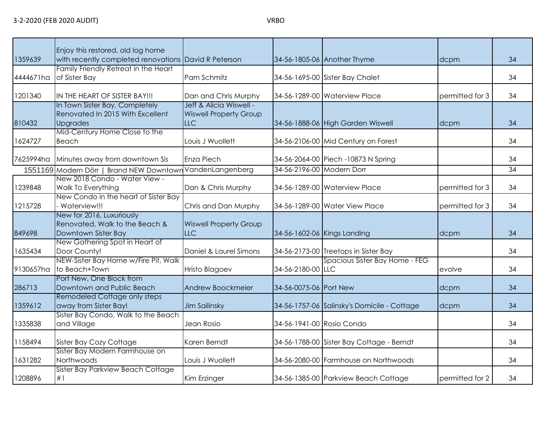81

9130657ha

286713

1359612

1335838

1631282

1208896

NEW-Sister Bay Home w/Fire Pit, Walk

Sister Bay Condo, Walk to the Beach

Port New, One Block from

Remodeled Cottage only steps

Sister Bay Modern Farmhouse on

Sister Bay Parkview Beach Cottage

to Beach+Town | Hristo Blagoev | 34-56-2180-00 | LLC

| 1359639   | Enjoy this restored, old log home<br>with recently completed renovations David R Peterson |                                                                        |                           | 34-56-1805-06 Another Thyme          | dcpm            | 34 |
|-----------|-------------------------------------------------------------------------------------------|------------------------------------------------------------------------|---------------------------|--------------------------------------|-----------------|----|
| 4444671ha | Family Friendly Retreat in the Heart<br>of Sister Bay                                     | Pam Schmitz                                                            |                           | 34-56-1695-00 Sister Bay Chalet      |                 | 34 |
| 1201340   | IN THE HEART OF SISTER BAY!!!                                                             | Dan and Chris Murphy                                                   |                           | 34-56-1289-00 Waterview Place        | permitted for 3 | 34 |
| 810432    | In Town Sister Bay, Completely<br>Renovated In 2015 With Excellent<br><b>Upgrades</b>     | Jeff & Alicia Wiswell -<br><b>Wiswell Property Group</b><br><b>LLC</b> |                           | 34-56-1888-06 High Garden Wiswell    | dcpm            | 34 |
| 1624727   | Mid-Century Home Close to the<br>Beach                                                    | Louis J Wuollett                                                       |                           | 34-56-2106-00 Mid Century on Forest  |                 | 34 |
| 7625994ha | Minutes away from downtown Sis                                                            | Enza Piech                                                             |                           | 34-56-2064-00 Piech -10873 N Spring  |                 | 34 |
|           | 1551169 Modern Dörr   Brand NEW Downtown                                                  | VandenLangenberg                                                       | 34-56-2196-00 Modern Dorr |                                      |                 | 34 |
| 1239848   | New 2018 Condo - Water View -<br><b>Walk To Everything</b>                                | Dan & Chris Murphy                                                     |                           | 34-56-1289-00 Waterview Place        | permitted for 3 | 34 |
| 1215728   | New Condo in the heart of Sister Bay<br>Waterview!!!                                      | Chris and Dan Murphy                                                   |                           | 34-56-1289-00 Water View Place       | permitted for 3 | 34 |
| 849698    | New for 2016, Luxuriously<br>Renovated, Walk to the Beach &<br>Downtown Sister Bay        | <b>Wiswell Property Group</b><br><b>LLC</b>                            |                           | 34-56-1602-06 Kings Landing          | dcpm            | 34 |
| 1635434   | New Gathering Spot in Heart of<br>Door County!                                            | Daniel & Laurel Simons                                                 |                           | 34-56-2173-00 Treetops in Sister Bay |                 | 34 |

Downtown and Public Beach Andrew Boockmeier 34-56-0075-06 Port New dcpm dcpm 34

away from Sister Bay! Jim Sailinsky 34-56-1757-06 Salinsky's Domicile - Cottage dcpm and 34-56-1757-06 Salinsky

and Village Jean Rosio 34-56-1941-00 Rosio Condo 34

Northwoods Louis J Wuollett 34-56-2080-00 Farmhouse on Northwoods 34

#1 kim Erzinger 134-56-1385-00 Parkview Beach Cottage permitted for 2 34

1158494 Sister Bay Cozy Cottage Karen Berndt 34-56-1788-00 Sister Bay Cottage - Berndt 134-56-1788-00

Spacious Sister Bay Home - FEG

 $e$ volve  $\vert$  34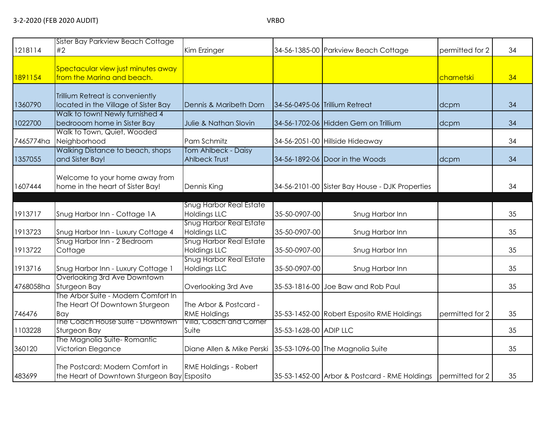| 1218114   | Sister Bay Parkview Beach Cottage<br>#2                                        | Kim Erzinger                                               |                        | 34-56-1385-00 Parkview Beach Cottage                          | permitted for 2 | 34 |
|-----------|--------------------------------------------------------------------------------|------------------------------------------------------------|------------------------|---------------------------------------------------------------|-----------------|----|
| 1891154   | Spectacular view just minutes away<br>from the Marina and beach.               |                                                            |                        |                                                               | charnetski      | 34 |
| 1360790   | Trillium Retreat is conveniently<br>located in the Village of Sister Bay       | Dennis & Maribeth Dorn                                     |                        | 34-56-0495-06 Trillium Retreat                                | dcpm            | 34 |
| 1022700   | Walk to town! Newly furnished 4<br>bedrooom home in Sister Bay                 | Julie & Nathan Slovin                                      |                        | 34-56-1702-06 Hidden Gem on Trillium                          | dcpm            | 34 |
| 7465774ha | Walk to Town, Quiet, Wooded<br>Neighborhood                                    | Pam Schmitz                                                |                        | 34-56-2051-00 Hillside Hideaway                               |                 | 34 |
| 1357055   | Walking Distance to beach, shops<br>and Sister Bay!                            | <b>Tom Ahlbeck - Daisy</b><br><b>Ahlbeck Trust</b>         |                        | 34-56-1892-06 Door in the Woods                               | dcpm            | 34 |
| 1607444   | Welcome to your home away from<br>home in the heart of Sister Bay!             | Dennis King                                                |                        | 34-56-2101-00 Sister Bay House - DJK Properties               |                 | 34 |
| 1913717   | Snug Harbor Inn - Cottage 1A                                                   | <b>Snug Harbor Real Estate</b><br><b>Holdings LLC</b>      | 35-50-0907-00          | Snug Harbor Inn                                               |                 | 35 |
| 1913723   | Snug Harbor Inn - Luxury Cottage 4                                             | <b>Snug Harbor Real Estate</b><br><b>Holdings LLC</b>      | 35-50-0907-00          | Snug Harbor Inn                                               |                 | 35 |
| 1913722   | Snug Harbor Inn - 2 Bedroom<br>Cottage                                         | <b>Snug Harbor Real Estate</b><br><b>Holdings LLC</b>      | 35-50-0907-00          | Snug Harbor Inn                                               |                 | 35 |
| 1913716   | Snug Harbor Inn - Luxury Cottage 1                                             | <b>Snug Harbor Real Estate</b><br><b>Holdings LLC</b>      | 35-50-0907-00          | Snug Harbor Inn                                               |                 | 35 |
| 4768058ha | Overlooking 3rd Ave Downtown<br>Sturgeon Bay                                   | Overlooking 3rd Ave                                        |                        | 35-53-1816-00 Joe Baw and Rob Paul                            |                 | 35 |
| 746476    | The Arbor Suite - Modern Comfort In<br>The Heart Of Downtown Sturgeon<br>Bay   | The Arbor & Postcard -<br><b>RME Holdings</b>              |                        | 35-53-1452-00 Robert Esposito RME Holdings                    | permitted for 2 | 35 |
| 1103228   | The Coach House Suite - Downtown<br>Sturgeon Bay                               | Villa, Coach and Corner<br>Suite                           | 35-53-1628-00 ADIP LLC |                                                               |                 | 35 |
| 360120    | The Magnolia Suite- Romantic<br>Victorian Elegance                             | Diane Allen & Mike Perski 35-53-1096-00 The Magnolia Suite |                        |                                                               |                 | 35 |
| 483699    | The Postcard: Modern Comfort in<br>the Heart of Downtown Sturgeon Bay Esposito | <b>RME Holdings - Robert</b>                               |                        | 35-53-1452-00 Arbor & Postcard - RME Holdings permitted for 2 |                 | 35 |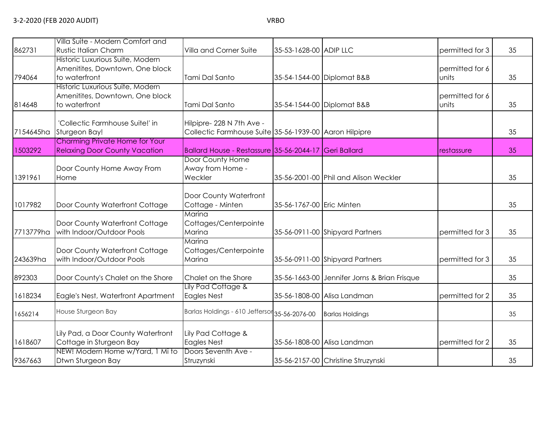| 862731    | Villa Suite - Modern Comfort and<br><b>Rustic Italian Charm</b>                      | Villa and Corner Suite                                                             | 35-53-1628-00 ADIP LLC    |                                              | permitted for 3          | 35 |
|-----------|--------------------------------------------------------------------------------------|------------------------------------------------------------------------------------|---------------------------|----------------------------------------------|--------------------------|----|
| 794064    | Historic Luxurious Suite, Modern<br>Amenitites, Downtown, One block<br>to waterfront | Tami Dal Santo                                                                     |                           | 35-54-1544-00 Diplomat B&B                   | permitted for 6<br>units | 35 |
| 814648    | Historic Luxurious Suite, Modern<br>Amenitites, Downtown, One block<br>to waterfront | Tami Dal Santo                                                                     |                           | 35-54-1544-00 Diplomat B&B                   | permitted for 6<br>units | 35 |
| 7154645ha | 'Collectic Farmhouse Suite!' in<br>Sturgeon Bay!                                     | Hilpipre-228 N 7th Ave -<br>Collectic Farmhouse Suite 35-56-1939-00 Aaron Hilpipre |                           |                                              |                          | 35 |
| 1503292   | Charming Private Home for Your<br><b>Relaxing Door County Vacation</b>               | Ballard House - Restassure 35-56-2044-17 Geri Ballard                              |                           |                                              | restassure               | 35 |
| 1391961   | Door County Home Away From<br>Home                                                   | Door County Home<br>Away from Home -<br>Weckler                                    |                           | 35-56-2001-00 Phil and Alison Weckler        |                          | 35 |
| 1017982   | Door County Waterfront Cottage                                                       | Door County Waterfront<br>Cottage - Minten                                         | 35-56-1767-00 Eric Minten |                                              |                          | 35 |
| 7713779ha | Door County Waterfront Cottage<br>with Indoor/Outdoor Pools                          | Marina<br>Cottages/Centerpointe<br>Marina                                          |                           | 35-56-0911-00 Shipyard Partners              | permitted for 3          | 35 |
| 243639ha  | Door County Waterfront Cottage<br>with Indoor/Outdoor Pools                          | Marina<br>Cottages/Centerpointe<br>Marina                                          |                           | 35-56-0911-00 Shipyard Partners              | permitted for 3          | 35 |
| 892303    | Door County's Chalet on the Shore                                                    | Chalet on the Shore                                                                |                           | 35-56-1663-00 Jennifer Jorns & Brian Frisque |                          | 35 |
| 1618234   | Eagle's Nest, Waterfront Apartment                                                   | Lily Pad Cottage &<br><b>Eagles Nest</b>                                           |                           | 35-56-1808-00 Alisa Landman                  | permitted for 2          | 35 |
| 1656214   | House Sturgeon Bay                                                                   | Barlas Holdings - 610 Jeffersor 35-56-2076-00                                      |                           | <b>Barlas Holdings</b>                       |                          | 35 |
| 1618607   | Lily Pad, a Door County Waterfront<br>Cottage in Sturgeon Bay                        | Lily Pad Cottage &<br><b>Eagles Nest</b>                                           |                           | 35-56-1808-00 Alisa Landman                  | permitted for 2          | 35 |
| 9367663   | NEW! Modern Home w/Yard, 1 Mi to<br>Dtwn Sturgeon Bay                                | Doors Seventh Ave -<br>Struzynski                                                  |                           | 35-56-2157-00 Christine Struzynski           |                          | 35 |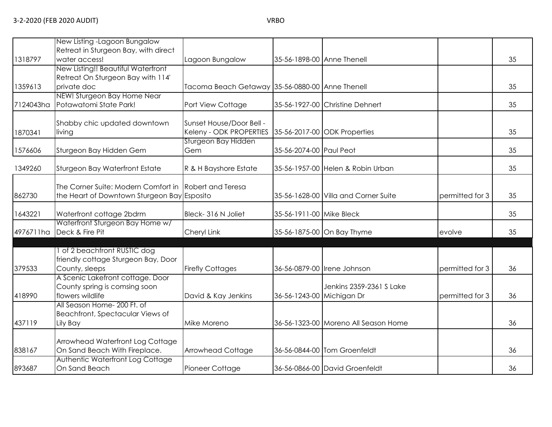|           | New Listing - Lagoon Bungalow                                     |                                                 |                           |                                      |                 |    |
|-----------|-------------------------------------------------------------------|-------------------------------------------------|---------------------------|--------------------------------------|-----------------|----|
|           | Retreat in Sturgeon Bay, with direct                              |                                                 |                           |                                      |                 |    |
| 1318797   | water access!                                                     | Lagoon Bungalow                                 |                           | 35-56-1898-00 Anne Thenell           |                 | 35 |
|           | New Listing!! Beautiful Waterfront                                |                                                 |                           |                                      |                 |    |
|           | Retreat On Sturgeon Bay with 114'                                 |                                                 |                           |                                      |                 |    |
| 1359613   | private doc                                                       | Tacoma Beach Getaway 35-56-0880-00 Anne Thenell |                           |                                      |                 | 35 |
|           | NEW! Sturgeon Bay Home Near                                       |                                                 |                           |                                      |                 |    |
| 7124043ha | Potawatomi State Park!                                            | Port View Cottage                               |                           | 35-56-1927-00 Christine Dehnert      |                 | 35 |
|           | Shabby chic updated downtown                                      | Sunset House/Door Bell -                        |                           |                                      |                 |    |
| 1870341   | living                                                            | Keleny - ODK PROPERTIES                         |                           | 35-56-2017-00 ODK Properties         |                 | 35 |
|           |                                                                   | Sturgeon Bay Hidden                             |                           |                                      |                 |    |
| 1576606   | Sturgeon Bay Hidden Gem                                           | Gem                                             | 35-56-2074-00 Paul Peot   |                                      |                 | 35 |
| 1349260   | Sturgeon Bay Waterfront Estate                                    | R & H Bayshore Estate                           |                           | 35-56-1957-00 Helen & Robin Urban    |                 | 35 |
|           | The Corner Suite: Modern Comfort in                               | <b>Robert and Teresa</b>                        |                           |                                      |                 |    |
| 862730    | the Heart of Downtown Sturgeon Bay Esposito                       |                                                 |                           | 35-56-1628-00 Villa and Corner Suite | permitted for 3 | 35 |
| 1643221   | Waterfront cottage 2bdrm                                          | Bleck-316 N Joliet                              | 35-56-1911-00 Mike Bleck  |                                      |                 | 35 |
|           | Waterfront Sturgeon Bay Home w/                                   |                                                 |                           |                                      |                 |    |
| 4976711ha | Deck & Fire Pit                                                   | Cheryl Link                                     |                           | 35-56-1875-00 On Bay Thyme           | evolve          | 35 |
|           |                                                                   |                                                 |                           |                                      |                 |    |
|           | of 2 beachfront RUSTIC dog<br>friendly cottage Sturgeon Bay, Door |                                                 |                           |                                      |                 |    |
| 379533    | County, sleeps                                                    | <b>Firefly Cottages</b>                         |                           | 36-56-0879-00 Irene Johnson          | permitted for 3 | 36 |
|           | A Scenic Lakefront cottage. Door                                  |                                                 |                           |                                      |                 |    |
|           | County spring is comsing soon                                     |                                                 |                           | Jenkins 2359-2361 S Lake             |                 |    |
| 418990    | flowers wildlife                                                  | David & Kay Jenkins                             | 36-56-1243-00 Michigan Dr |                                      | permitted for 3 | 36 |
|           | All Season Home- 200 Ft. of                                       |                                                 |                           |                                      |                 |    |
|           | Beachfront, Spectacular Views of                                  |                                                 |                           |                                      |                 |    |
| 437119    | Lily Bay                                                          | Mike Moreno                                     |                           | 36-56-1323-00 Moreno All Season Home |                 | 36 |
|           | Arrowhead Waterfront Log Cottage                                  |                                                 |                           |                                      |                 |    |
| 838167    | On Sand Beach With Fireplace.                                     | Arrowhead Cottage                               |                           | 36-56-0844-00 Tom Groenfeldt         |                 | 36 |
|           | Authentic Waterfront Log Cottage                                  |                                                 |                           |                                      |                 |    |
| 893687    | On Sand Beach                                                     | Pioneer Cottage                                 |                           | 36-56-0866-00 David Groenfeldt       |                 | 36 |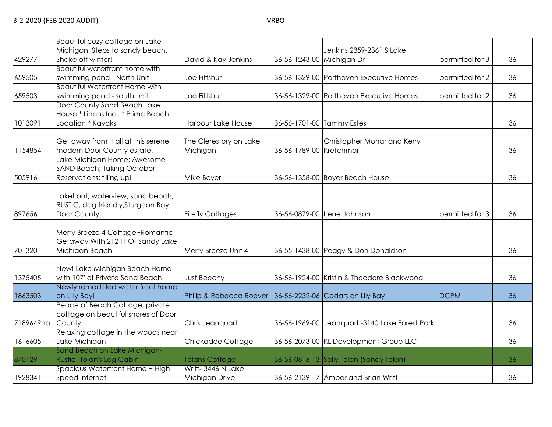|           | Beautiful cozy cottage on Lake                            |                         |                           |                                                |                 |    |
|-----------|-----------------------------------------------------------|-------------------------|---------------------------|------------------------------------------------|-----------------|----|
|           | Michigan. Steps to sandy beach.                           |                         |                           | Jenkins 2359-2361 S Lake                       |                 |    |
| 429277    | Shake off winter!                                         | David & Kay Jenkins     | 36-56-1243-00 Michigan Dr |                                                | permitted for 3 | 36 |
|           | Beautiful waterfront home with                            |                         |                           |                                                |                 |    |
| 659505    | swimming pond - North Unit                                | Joe Fittshur            |                           | 36-56-1329-00 Porthaven Executive Homes        | permitted for 2 | 36 |
|           | <b>Beautiful Waterfront Home with</b>                     |                         |                           |                                                |                 |    |
| 659503    | swimming pond - south unit                                | Joe Fittshur            |                           | 36-56-1329-00 Porthaven Executive Homes        | permitted for 2 | 36 |
|           | Door County Sand Beach Lake                               |                         |                           |                                                |                 |    |
|           | House * Linens Incl. * Prime Beach                        |                         |                           |                                                |                 |    |
| 1013091   | Location * Kayaks                                         | Harbour Lake House      | 36-56-1701-00 Tammy Estes |                                                |                 | 36 |
|           |                                                           |                         |                           |                                                |                 |    |
|           | Get away from it all at this serene,                      | The Clerestory on Lake  |                           | Christopher Mohar and Kerry                    |                 |    |
| 1154854   | modern Door County estate.<br>Lake Michigan Home; Awesome | Michigan                | 36-56-1789-00 Kretchmar   |                                                |                 | 36 |
|           | SAND Beach; Taking October                                |                         |                           |                                                |                 |    |
| 505916    | Reservations; filling up!                                 | Mike Boyer              |                           | 36-56-1358-00 Boyer Beach House                |                 | 36 |
|           |                                                           |                         |                           |                                                |                 |    |
|           | Lakefront, waterview, sand beach,                         |                         |                           |                                                |                 |    |
|           | RUSTIC, dog friendly, Sturgeon Bay                        |                         |                           |                                                |                 |    |
| 897656    | Door County                                               | <b>Firefly Cottages</b> |                           | 36-56-0879-00 Irene Johnson                    | permitted for 3 | 36 |
|           |                                                           |                         |                           |                                                |                 |    |
|           | Merry Breeze 4 Cottage~Romantic                           |                         |                           |                                                |                 |    |
|           | Getaway With 212 Ft Of Sandy Lake                         |                         |                           |                                                |                 |    |
| 701320    | Michigan Beach                                            | Merry Breeze Unit 4     |                           | 36-55-1438-00 Peggy & Don Donaldson            |                 | 36 |
|           |                                                           |                         |                           |                                                |                 |    |
|           | New! Lake Michigan Beach Home                             |                         |                           |                                                |                 |    |
| 1375405   | with 107' of Private Sand Beach                           | <b>Just Beechy</b>      |                           | 36-56-1924-00 Kristin & Theodore Blackwood     |                 | 36 |
|           | Newly remodeled water front home                          |                         |                           |                                                |                 |    |
| 1863503   | on Lilly Bay!<br>Peace of Beach Cottage, private          | Philip & Rebecca Roever |                           | 36-56-2232-06 Cedars on Lily Bay               | <b>DCPM</b>     | 36 |
|           | cottage on beautiful shores of Door                       |                         |                           |                                                |                 |    |
| 7189649ha | County                                                    | Chris Jeanquart         |                           | 36-56-1969-00 Jeanquart -3140 Lake Forest Park |                 | 36 |
|           | Relaxing cottage in the woods near                        |                         |                           |                                                |                 |    |
| 1616605   | Lake Michigan                                             | Chickadee Cottage       |                           | 36-56-2073-00 KL Development Group LLC         |                 | 36 |
|           | Sand Beach on Lake Michigan-                              |                         |                           |                                                |                 |    |
| 870129    | Rustic-Tolan's Log Cabin                                  | <b>Tolans Cottage</b>   |                           | 36-56-0816-13 Sally Tolan (Sandy Tolan)        |                 | 36 |
|           | Spacious Waterfront Home + High                           | Writt- 3446 N Lake      |                           |                                                |                 |    |
| 1928341   | Speed Internet                                            | Michigan Drive          |                           | 36-56-2139-17 Amber and Brian Writt            |                 | 36 |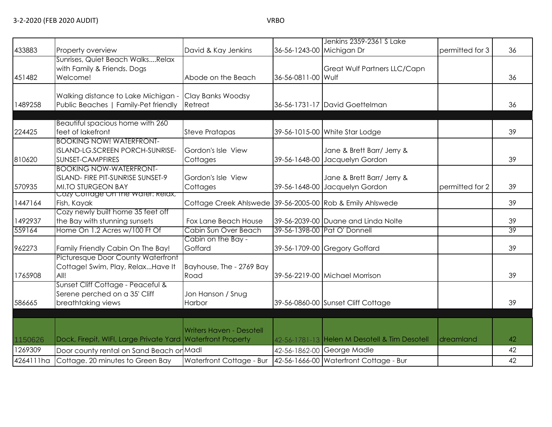|           |                                                                         |                                                           |                           | Jenkins 2359-2361 S Lake                      |                 |    |
|-----------|-------------------------------------------------------------------------|-----------------------------------------------------------|---------------------------|-----------------------------------------------|-----------------|----|
| 433883    | Property overview                                                       | David & Kay Jenkins                                       | 36-56-1243-00 Michigan Dr |                                               | permitted for 3 | 36 |
|           | Sunrises, Quiet Beach WalksRelax                                        |                                                           |                           |                                               |                 |    |
| 451482    | with Family & Friends. Dogs<br>Welcome!                                 | Abode on the Beach                                        | 36-56-0811-00 Wulf        | Great Wulf Partners LLC/Capn                  |                 | 36 |
|           |                                                                         |                                                           |                           |                                               |                 |    |
|           | Walking distance to Lake Michigan -                                     | Clay Banks Woodsy                                         |                           |                                               |                 |    |
| 1489258   | Public Beaches   Family-Pet friendly                                    | Retreat                                                   |                           | 36-56-1731-17 David Goettelman                |                 | 36 |
|           |                                                                         |                                                           |                           |                                               |                 |    |
|           | Beautiful spacious home with 260                                        |                                                           |                           |                                               |                 |    |
| 224425    | feet of lakefront                                                       | <b>Steve Pratapas</b>                                     |                           | 39-56-1015-00 White Star Lodge                |                 | 39 |
|           | <b>BOOKING NOW! WATERFRONT-</b>                                         |                                                           |                           |                                               |                 |    |
|           | ISLAND-LG.SCREEN PORCH-SUNRISE-                                         | Gordon's Isle View                                        |                           | Jane & Brett Barr/ Jerry &                    |                 |    |
| 810620    | <b>SUNSET-CAMPFIRES</b>                                                 | Cottages                                                  |                           | 39-56-1648-00 Jacquelyn Gordon                |                 | 39 |
|           | <b>BOOKING NOW-WATERFRONT-</b>                                          |                                                           |                           |                                               |                 |    |
|           | ISLAND- FIRE PIT-SUNRISE SUNSET-9                                       | Gordon's Isle View                                        |                           | Jane & Brett Barr/ Jerry &                    |                 |    |
| 570935    | MI.TO STURGEON BAY<br>Cozy Corrage On the water: Relax,                 | Cottages                                                  |                           | 39-56-1648-00 Jacquelyn Gordon                | permitted for 2 | 39 |
| 1447164   | Fish, Kayak                                                             | Cottage Creek Ahlswede 39-56-2005-00 Rob & Emily Ahlswede |                           |                                               |                 | 39 |
|           | Cozy newly built home 35 feet off                                       |                                                           |                           |                                               |                 |    |
| 1492937   | the Bay with stunning sunsets                                           | Fox Lane Beach House                                      |                           | 39-56-2039-00 Duane and Linda Nolte           |                 | 39 |
| 559164    | Home On 1.2 Acres w/100 Ft Of                                           | Cabin Sun Over Beach                                      |                           | 39-56-1398-00 Pat O' Donnell                  |                 | 39 |
|           |                                                                         | Cabin on the Bay -                                        |                           |                                               |                 |    |
| 962273    | Family Friendly Cabin On The Bay!                                       | Goffard                                                   |                           | 39-56-1709-00 Gregory Goffard                 |                 | 39 |
|           | Picturesque Door County Waterfront<br>Cottage! Swim, Play, RelaxHave It | Bayhouse, The - 2769 Bay                                  |                           |                                               |                 |    |
| 1765908   | All!                                                                    | Road                                                      |                           | 39-56-2219-00 Michael Morrison                |                 | 39 |
|           | Sunset Cliff Cottage - Peaceful &                                       |                                                           |                           |                                               |                 |    |
|           | Serene perched on a 35' Cliff                                           | Jon Hanson / Snug                                         |                           |                                               |                 |    |
| 586665    | breathtaking views                                                      | Harbor                                                    |                           | 39-56-0860-00 Sunset Cliff Cottage            |                 | 39 |
|           |                                                                         |                                                           |                           |                                               |                 |    |
|           |                                                                         |                                                           |                           |                                               |                 |    |
|           |                                                                         | <b>Writers Haven - Desotell</b>                           |                           |                                               |                 |    |
| 1150626   | Dock, Firepit, WIFI, Large Private Yard Waterfront Property             |                                                           |                           | 42-56-1781-13 Helen M Desotell & Tim Desotell | dreamland       | 42 |
| 1269309   | Door county rental on Sand Beach or Madl                                |                                                           |                           | 42-56-1862-00 George Madle                    |                 | 42 |
| 4264111ha | Cottage. 20 minutes to Green Bay                                        | Waterfront Cottage - Bur                                  |                           | 42-56-1666-00 Waterfront Cottage - Bur        |                 | 42 |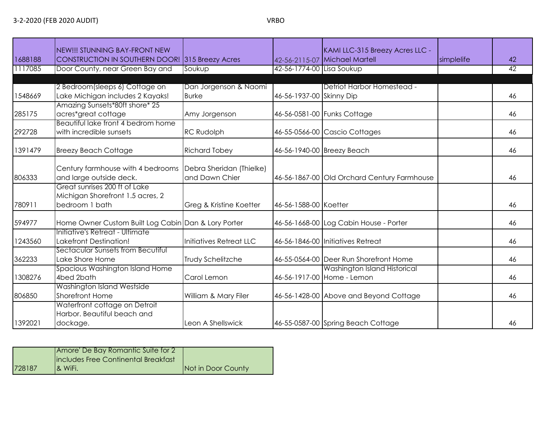| 1688188 | NEW!!! STUNNING BAY-FRONT NEW<br><b>CONSTRUCTION IN SOUTHERN DOOR!</b> 315 Breezy Acres |                                            |                           | KAMI LLC-315 Breezy Acres LLC -<br>42-56-2115-07 Michael Martell | simplelife | 42 |
|---------|-----------------------------------------------------------------------------------------|--------------------------------------------|---------------------------|------------------------------------------------------------------|------------|----|
| 1117085 | Door County, near Green Bay and                                                         | Soukup                                     | 42-56-1774-00 Lisa Soukup |                                                                  |            | 42 |
|         |                                                                                         |                                            |                           |                                                                  |            |    |
|         | 2 Bedroom(sleeps 6) Cottage on                                                          | Dan Jorgenson & Naomi                      |                           | Detriot Harbor Homestead -                                       |            |    |
| 1548669 | Lake Michigan includes 2 Kayaks!                                                        | <b>Burke</b>                               | 46-56-1937-00 Skinny Dip  |                                                                  |            | 46 |
|         | Amazing Sunsets*80ft shore* 25                                                          |                                            |                           |                                                                  |            |    |
| 285175  | acres*great cottage                                                                     | Amy Jorgenson                              |                           | 46-56-0581-00 Funks Cottage                                      |            | 46 |
|         | Beautiful lake front 4 bedrom home                                                      |                                            |                           |                                                                  |            |    |
| 292728  | with incredible sunsets                                                                 | <b>RC Rudolph</b>                          |                           | 46-55-0566-00 Cascio Cottages                                    |            | 46 |
| 1391479 | <b>Breezy Beach Cottage</b>                                                             | <b>Richard Tobey</b>                       |                           | 46-56-1940-00 Breezy Beach                                       |            | 46 |
| 806333  | Century farmhouse with 4 bedrooms<br>and large outside deck.                            | Debra Sheridan (Thielke)<br>and Dawn Chier |                           | 46-56-1867-00 Old Orchard Century Farmhouse                      |            | 46 |
|         | Great sunrises 200 ft of Lake                                                           |                                            |                           |                                                                  |            |    |
|         | Michigan Shorefront 1.5 acres, 2                                                        |                                            |                           |                                                                  |            |    |
| 780911  | bedroom 1 bath                                                                          | Greg & Kristine Koetter                    | 46-56-1588-00 Koetter     |                                                                  |            | 46 |
| 594977  | Home Owner Custom Built Log Cabin Dan & Lory Porter                                     |                                            |                           | 46-56-1668-00 Log Cabin House - Porter                           |            | 46 |
|         | Initiative's Retreat - Ultimate                                                         |                                            |                           |                                                                  |            |    |
| 1243560 | Lakefront Destination!                                                                  | Initiatives Retreat LLC                    |                           | 46-56-1846-00 Initiatives Retreat                                |            | 46 |
| 362233  | Sectacular Sunsets from Becutiful<br>Lake Shore Home                                    | Trudy Schelitzche                          |                           | 46-55-0564-00 Deer Run Shorefront Home                           |            | 46 |
|         | Spacious Washington Island Home                                                         |                                            |                           | Washington Island Historical                                     |            |    |
| 1308276 | 4bed 2bath                                                                              | Carol Lemon                                |                           | 46-56-1917-00 Home - Lemon                                       |            | 46 |
|         | Washington Island Westside                                                              |                                            |                           |                                                                  |            |    |
| 806850  | Shorefront Home                                                                         | William & Mary Filer                       |                           | 46-56-1428-00 Above and Beyond Cottage                           |            | 46 |
| 1392021 | Waterfront cottage on Detroit<br>Harbor, Beautiful beach and<br>dockage.                | Leon A Shellswick                          |                           | 46-55-0587-00 Spring Beach Cottage                               |            | 46 |

|        | Amore' De Bay Romantic Suite for 2<br>Includes Free Continental Breakfast |                    |
|--------|---------------------------------------------------------------------------|--------------------|
| 728187 | <b>1&amp; WiFi.</b>                                                       | Not in Door County |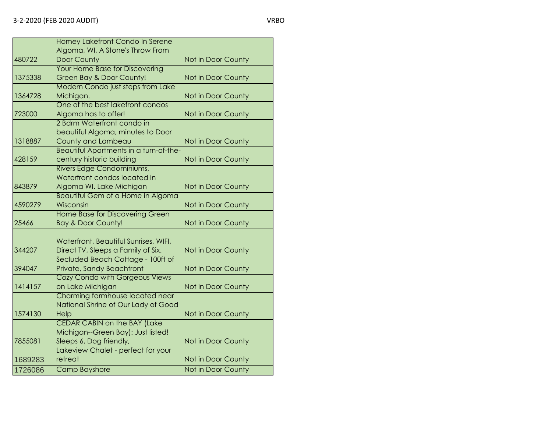|         | Homey Lakefront Condo In Serene          |                    |
|---------|------------------------------------------|--------------------|
|         | Algoma, WI, A Stone's Throw From         |                    |
| 480722  | Door County                              | Not in Door County |
|         | Your Home Base for Discovering           |                    |
| 1375338 | Green Bay & Door County!                 | Not in Door County |
|         | Modern Condo just steps from Lake        |                    |
| 1364728 | Michigan.                                | Not in Door County |
|         | One of the best lakefront condos         |                    |
| 723000  | Algoma has to offer!                     | Not in Door County |
|         | 2 Bdrm Waterfront condo in               |                    |
|         | beautiful Algoma, minutes to Door        |                    |
| 1318887 | County and Lambeau                       | Not in Door County |
|         | Beautiful Apartments in a turn-of-the-   |                    |
| 428159  | century historic building                | Not in Door County |
|         | Rivers Edge Condominiums,                |                    |
|         | Waterfront condos located in             |                    |
| 843879  | Algoma WI. Lake Michigan                 | Not in Door County |
|         | <b>Beautiful Gem of a Home in Algoma</b> |                    |
| 4590279 | Wisconsin                                | Not in Door County |
|         | Home Base for Discovering Green          |                    |
| 25466   | <b>Bay &amp; Door County!</b>            | Not in Door County |
|         |                                          |                    |
|         | Waterfront, Beautiful Sunrises, WIFI,    |                    |
| 344207  | Direct TV, Sleeps a Family of Six.       | Not in Door County |
|         | Secluded Beach Cottage - 100ft of        |                    |
| 394047  | Private, Sandy Beachfront                | Not in Door County |
|         | Cozy Condo with Gorgeous Views           |                    |
| 1414157 | on Lake Michigan                         | Not in Door County |
|         | Charming farmhouse located near          |                    |
|         | National Shrine of Our Lady of Good      |                    |
| 1574130 | Help                                     | Not in Door County |
|         | <b>CEDAR CABIN on the BAY (Lake</b>      |                    |
|         | Michigan--Green Bay): Just listed!       |                    |
| 7855081 | Sleeps 6, Dog friendly,                  | Not in Door County |
|         | Lakeview Chalet - perfect for your       |                    |
| 1689283 | retreat                                  | Not in Door County |
| 1726086 | <b>Camp Bayshore</b>                     | Not in Door County |